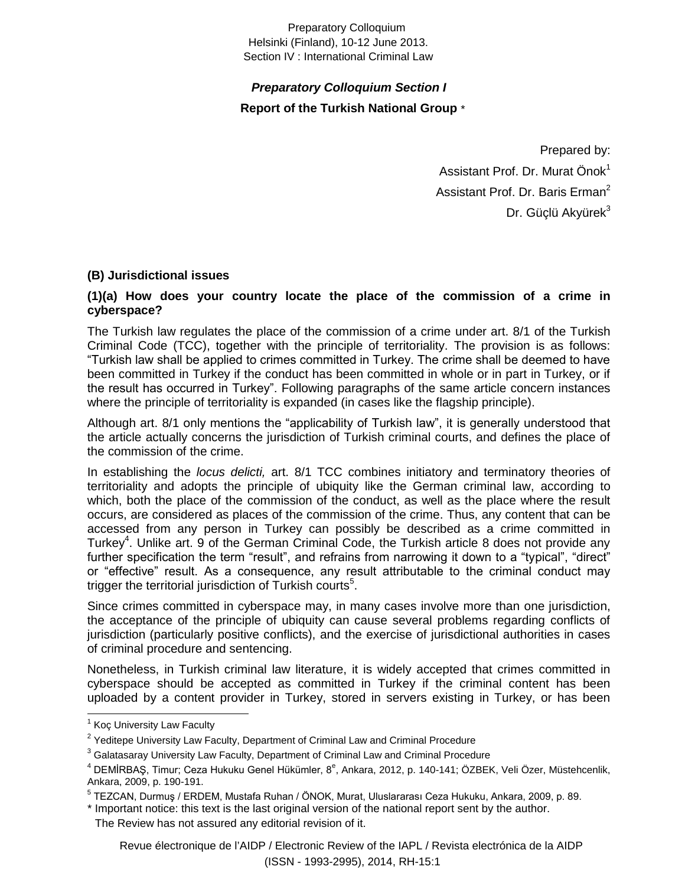#### Preparatory Colloquium Helsinki (Finland), 10-12 June 2013. Section IV : International Criminal Law

# *Preparatory Colloquium Section I* **Report of the Turkish National Group** \*

Prepared by: Assistant Prof. Dr. Murat Önok<sup>1</sup> Assistant Prof. Dr. Baris Erman<sup>2</sup> Dr. Güçlü Akyürek $3$ 

## **(B) Jurisdictional issues**

## **(1)(a) How does your country locate the place of the commission of a crime in cyberspace?**

The Turkish law regulates the place of the commission of a crime under art. 8/1 of the Turkish Criminal Code (TCC), together with the principle of territoriality. The provision is as follows: "Turkish law shall be applied to crimes committed in Turkey. The crime shall be deemed to have been committed in Turkey if the conduct has been committed in whole or in part in Turkey, or if the result has occurred in Turkey". Following paragraphs of the same article concern instances where the principle of territoriality is expanded (in cases like the flagship principle).

Although art. 8/1 only mentions the "applicability of Turkish law", it is generally understood that the article actually concerns the jurisdiction of Turkish criminal courts, and defines the place of the commission of the crime.

In establishing the *locus delicti,* art. 8/1 TCC combines initiatory and terminatory theories of territoriality and adopts the principle of ubiquity like the German criminal law, according to which, both the place of the commission of the conduct, as well as the place where the result occurs, are considered as places of the commission of the crime. Thus, any content that can be accessed from any person in Turkey can possibly be described as a crime committed in Turkey<sup>4</sup>. Unlike art. 9 of the German Criminal Code, the Turkish article 8 does not provide any further specification the term "result", and refrains from narrowing it down to a "typical", "direct" or "effective" result. As a consequence, any result attributable to the criminal conduct may trigger the territorial jurisdiction of Turkish courts<sup>5</sup>.

Since crimes committed in cyberspace may, in many cases involve more than one jurisdiction, the acceptance of the principle of ubiquity can cause several problems regarding conflicts of jurisdiction (particularly positive conflicts), and the exercise of jurisdictional authorities in cases of criminal procedure and sentencing.

Nonetheless, in Turkish criminal law literature, it is widely accepted that crimes committed in cyberspace should be accepted as committed in Turkey if the criminal content has been uploaded by a content provider in Turkey, stored in servers existing in Turkey, or has been

Revue électronique de l'AIDP / Electronic Review of the IAPL / Revista electrónica de la AIDP (ISSN - 1993-2995), 2014, RH-15:1

<sup>&</sup>lt;sup>1</sup> Koç University Law Faculty

<sup>&</sup>lt;sup>2</sup> Yeditepe University Law Faculty, Department of Criminal Law and Criminal Procedure

<sup>&</sup>lt;sup>3</sup> Galatasaray University Law Faculty, Department of Criminal Law and Criminal Procedure

<sup>&</sup>lt;sup>4</sup> DEMİRBAŞ, Timur; Ceza Hukuku Genel Hükümler, 8<sup>e</sup>, Ankara, 2012, p. 140-141; ÖZBEK, Veli Özer, Müstehcenlik, Ankara, 2009, p. 190-191.

<sup>&</sup>lt;sup>5</sup> TEZCAN, Durmuş / ERDEM, Mustafa Ruhan / ÖNOK, Murat, Uluslararası Ceza Hukuku, Ankara, 2009, p. 89.

<sup>\*</sup> Important notice: this text is the last original version of the national report sent by the author.

The Review has not assured any editorial revision of it.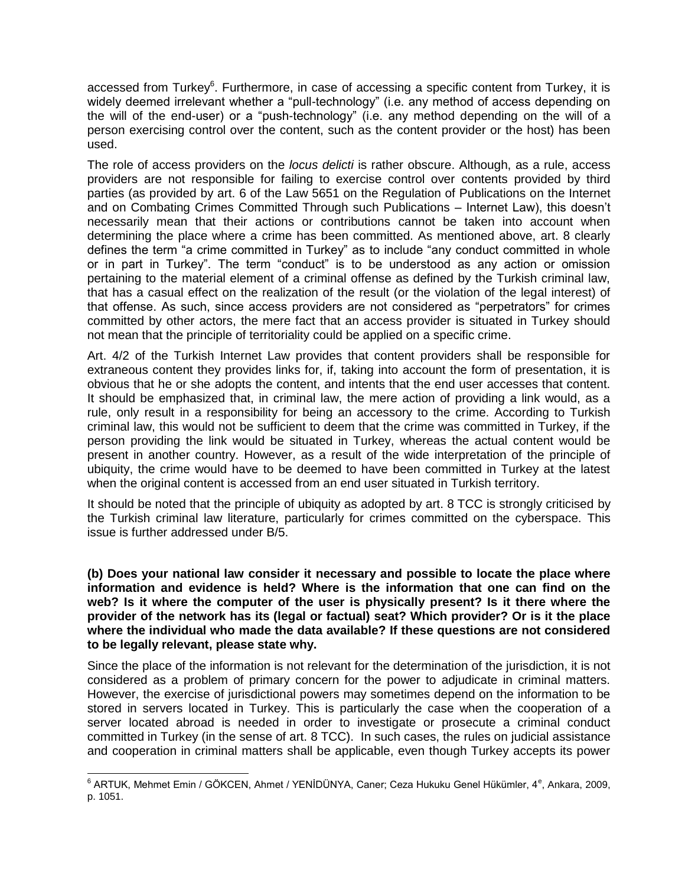accessed from Turkey<sup>6</sup>. Furthermore, in case of accessing a specific content from Turkey, it is widely deemed irrelevant whether a "pull-technology" (i.e. any method of access depending on the will of the end-user) or a "push-technology" (i.e. any method depending on the will of a person exercising control over the content, such as the content provider or the host) has been used.

The role of access providers on the *locus delicti* is rather obscure. Although, as a rule, access providers are not responsible for failing to exercise control over contents provided by third parties (as provided by art. 6 of the Law 5651 on the Regulation of Publications on the Internet and on Combating Crimes Committed Through such Publications – Internet Law), this doesn't necessarily mean that their actions or contributions cannot be taken into account when determining the place where a crime has been committed. As mentioned above, art. 8 clearly defines the term "a crime committed in Turkey" as to include "any conduct committed in whole or in part in Turkey". The term "conduct" is to be understood as any action or omission pertaining to the material element of a criminal offense as defined by the Turkish criminal law, that has a casual effect on the realization of the result (or the violation of the legal interest) of that offense. As such, since access providers are not considered as "perpetrators" for crimes committed by other actors, the mere fact that an access provider is situated in Turkey should not mean that the principle of territoriality could be applied on a specific crime.

Art. 4/2 of the Turkish Internet Law provides that content providers shall be responsible for extraneous content they provides links for, if, taking into account the form of presentation, it is obvious that he or she adopts the content, and intents that the end user accesses that content. It should be emphasized that, in criminal law, the mere action of providing a link would, as a rule, only result in a responsibility for being an accessory to the crime. According to Turkish criminal law, this would not be sufficient to deem that the crime was committed in Turkey, if the person providing the link would be situated in Turkey, whereas the actual content would be present in another country. However, as a result of the wide interpretation of the principle of ubiquity, the crime would have to be deemed to have been committed in Turkey at the latest when the original content is accessed from an end user situated in Turkish territory.

It should be noted that the principle of ubiquity as adopted by art. 8 TCC is strongly criticised by the Turkish criminal law literature, particularly for crimes committed on the cyberspace. This issue is further addressed under B/5.

**(b) Does your national law consider it necessary and possible to locate the place where information and evidence is held? Where is the information that one can find on the web? Is it where the computer of the user is physically present? Is it there where the provider of the network has its (legal or factual) seat? Which provider? Or is it the place where the individual who made the data available? If these questions are not considered to be legally relevant, please state why.**

Since the place of the information is not relevant for the determination of the jurisdiction, it is not considered as a problem of primary concern for the power to adjudicate in criminal matters. However, the exercise of jurisdictional powers may sometimes depend on the information to be stored in servers located in Turkey. This is particularly the case when the cooperation of a server located abroad is needed in order to investigate or prosecute a criminal conduct committed in Turkey (in the sense of art. 8 TCC). In such cases, the rules on judicial assistance and cooperation in criminal matters shall be applicable, even though Turkey accepts its power

en Martuk, Mehmet Emin / GÖKCEN, Ahmet / YENİDÜNYA, Caner; Ceza Hukuku Genel Hükümler, 4<sup>e</sup>, Ankara, 2009, Nartu<br><sup>6</sup> ARTUK, Mehmet Emin / GÖKCEN, Ahmet / YENİDÜNYA, Caner; Ceza Hukuku Genel Hükümler, 4<sup>e</sup>, Ankara, 2009, p. 1051.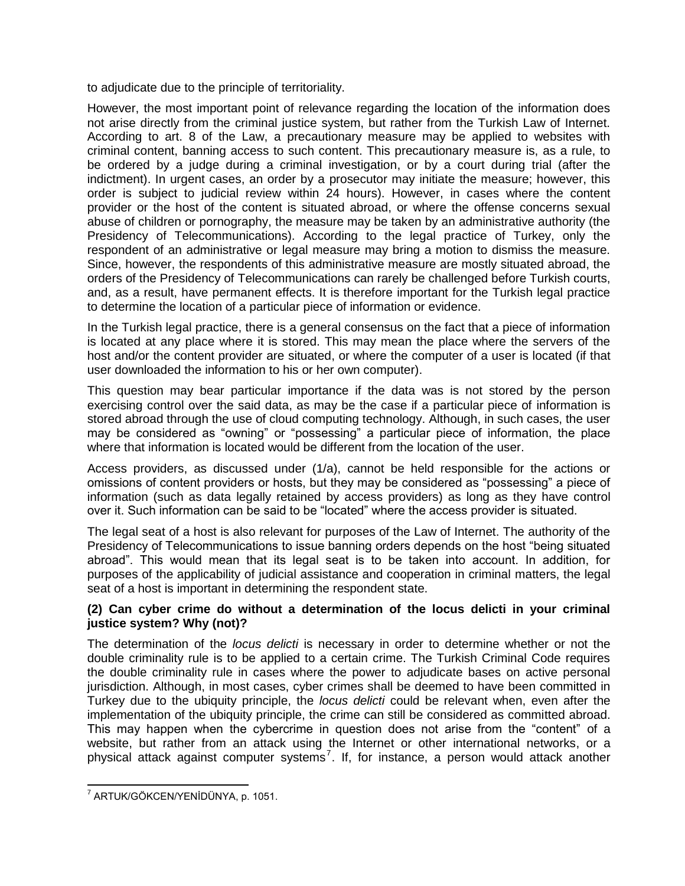to adjudicate due to the principle of territoriality.

However, the most important point of relevance regarding the location of the information does not arise directly from the criminal justice system, but rather from the Turkish Law of Internet. According to art. 8 of the Law, a precautionary measure may be applied to websites with criminal content, banning access to such content. This precautionary measure is, as a rule, to be ordered by a judge during a criminal investigation, or by a court during trial (after the indictment). In urgent cases, an order by a prosecutor may initiate the measure; however, this order is subject to judicial review within 24 hours). However, in cases where the content provider or the host of the content is situated abroad, or where the offense concerns sexual abuse of children or pornography, the measure may be taken by an administrative authority (the Presidency of Telecommunications). According to the legal practice of Turkey, only the respondent of an administrative or legal measure may bring a motion to dismiss the measure. Since, however, the respondents of this administrative measure are mostly situated abroad, the orders of the Presidency of Telecommunications can rarely be challenged before Turkish courts, and, as a result, have permanent effects. It is therefore important for the Turkish legal practice to determine the location of a particular piece of information or evidence.

In the Turkish legal practice, there is a general consensus on the fact that a piece of information is located at any place where it is stored. This may mean the place where the servers of the host and/or the content provider are situated, or where the computer of a user is located (if that user downloaded the information to his or her own computer).

This question may bear particular importance if the data was is not stored by the person exercising control over the said data, as may be the case if a particular piece of information is stored abroad through the use of cloud computing technology. Although, in such cases, the user may be considered as "owning" or "possessing" a particular piece of information, the place where that information is located would be different from the location of the user.

Access providers, as discussed under (1/a), cannot be held responsible for the actions or omissions of content providers or hosts, but they may be considered as "possessing" a piece of information (such as data legally retained by access providers) as long as they have control over it. Such information can be said to be "located" where the access provider is situated.

The legal seat of a host is also relevant for purposes of the Law of Internet. The authority of the Presidency of Telecommunications to issue banning orders depends on the host "being situated abroad". This would mean that its legal seat is to be taken into account. In addition, for purposes of the applicability of judicial assistance and cooperation in criminal matters, the legal seat of a host is important in determining the respondent state.

## **(2) Can cyber crime do without a determination of the locus delicti in your criminal justice system? Why (not)?**

The determination of the *locus delicti* is necessary in order to determine whether or not the double criminality rule is to be applied to a certain crime. The Turkish Criminal Code requires the double criminality rule in cases where the power to adjudicate bases on active personal jurisdiction. Although, in most cases, cyber crimes shall be deemed to have been committed in Turkey due to the ubiquity principle, the *locus delicti* could be relevant when, even after the implementation of the ubiquity principle, the crime can still be considered as committed abroad. This may happen when the cybercrime in question does not arise from the "content" of a website, but rather from an attack using the Internet or other international networks, or a physical attack against computer systems<sup>7</sup>. If, for instance, a person would attack another

 7 ARTUK/GÖKCEN/YENİDÜNYA, p. 1051.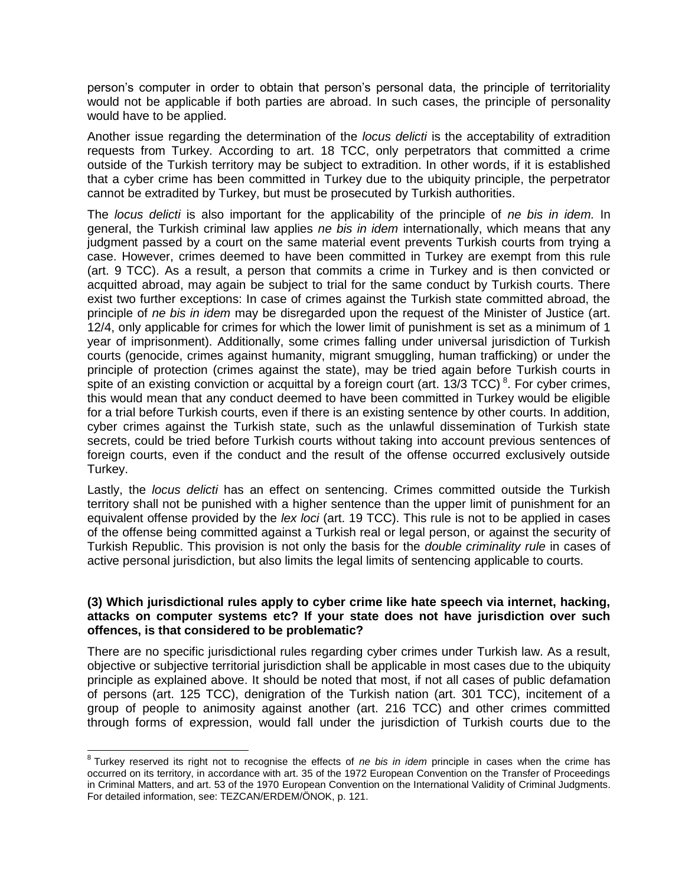person's computer in order to obtain that person's personal data, the principle of territoriality would not be applicable if both parties are abroad. In such cases, the principle of personality would have to be applied.

Another issue regarding the determination of the *locus delicti* is the acceptability of extradition requests from Turkey. According to art. 18 TCC, only perpetrators that committed a crime outside of the Turkish territory may be subject to extradition. In other words, if it is established that a cyber crime has been committed in Turkey due to the ubiquity principle, the perpetrator cannot be extradited by Turkey, but must be prosecuted by Turkish authorities.

The *locus delicti* is also important for the applicability of the principle of *ne bis in idem.* In general, the Turkish criminal law applies *ne bis in idem* internationally, which means that any judgment passed by a court on the same material event prevents Turkish courts from trying a case. However, crimes deemed to have been committed in Turkey are exempt from this rule (art. 9 TCC). As a result, a person that commits a crime in Turkey and is then convicted or acquitted abroad, may again be subject to trial for the same conduct by Turkish courts. There exist two further exceptions: In case of crimes against the Turkish state committed abroad, the principle of *ne bis in idem* may be disregarded upon the request of the Minister of Justice (art. 12/4, only applicable for crimes for which the lower limit of punishment is set as a minimum of 1 year of imprisonment). Additionally, some crimes falling under universal jurisdiction of Turkish courts (genocide, crimes against humanity, migrant smuggling, human trafficking) or under the principle of protection (crimes against the state), may be tried again before Turkish courts in spite of an existing conviction or acquittal by a foreign court (art. 13/3 TCC)<sup>8</sup>. For cyber crimes, this would mean that any conduct deemed to have been committed in Turkey would be eligible for a trial before Turkish courts, even if there is an existing sentence by other courts. In addition, cyber crimes against the Turkish state, such as the unlawful dissemination of Turkish state secrets, could be tried before Turkish courts without taking into account previous sentences of foreign courts, even if the conduct and the result of the offense occurred exclusively outside Turkey.

Lastly, the *locus delicti* has an effect on sentencing. Crimes committed outside the Turkish territory shall not be punished with a higher sentence than the upper limit of punishment for an equivalent offense provided by the *lex loci* (art. 19 TCC). This rule is not to be applied in cases of the offense being committed against a Turkish real or legal person, or against the security of Turkish Republic. This provision is not only the basis for the *double criminality rule* in cases of active personal jurisdiction, but also limits the legal limits of sentencing applicable to courts.

#### **(3) Which jurisdictional rules apply to cyber crime like hate speech via internet, hacking, attacks on computer systems etc? If your state does not have jurisdiction over such offences, is that considered to be problematic?**

There are no specific jurisdictional rules regarding cyber crimes under Turkish law. As a result, objective or subjective territorial jurisdiction shall be applicable in most cases due to the ubiquity principle as explained above. It should be noted that most, if not all cases of public defamation of persons (art. 125 TCC), denigration of the Turkish nation (art. 301 TCC), incitement of a group of people to animosity against another (art. 216 TCC) and other crimes committed through forms of expression, would fall under the jurisdiction of Turkish courts due to the

 8 Turkey reserved its right not to recognise the effects of *ne bis in idem* principle in cases when the crime has occurred on its territory, in accordance with art. 35 of the 1972 European Convention on the Transfer of Proceedings in Criminal Matters, and art. 53 of the 1970 European Convention on the International Validity of Criminal Judgments. For detailed information, see: TEZCAN/ERDEM/ÖNOK, p. 121.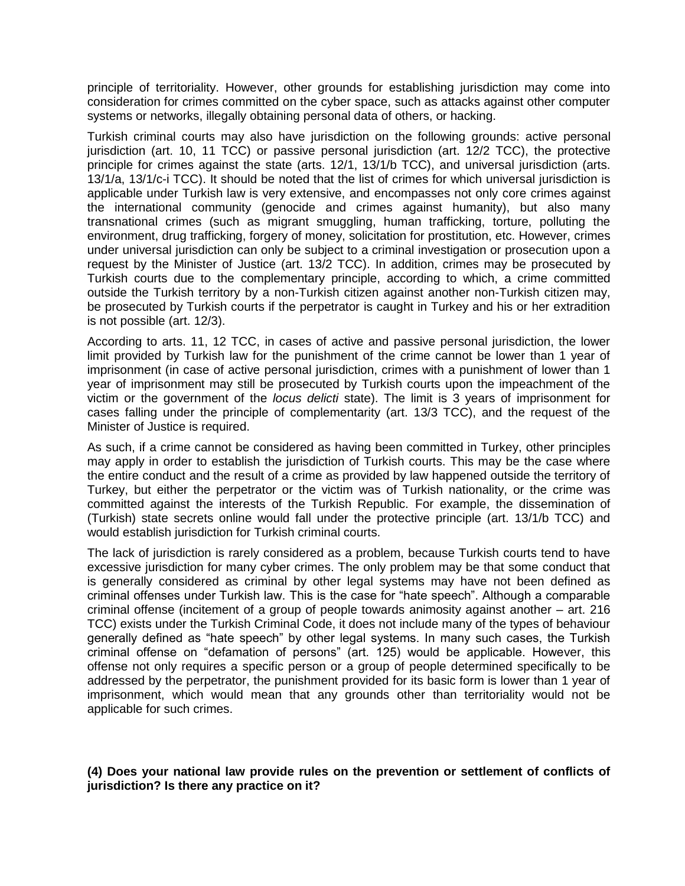principle of territoriality. However, other grounds for establishing jurisdiction may come into consideration for crimes committed on the cyber space, such as attacks against other computer systems or networks, illegally obtaining personal data of others, or hacking.

Turkish criminal courts may also have jurisdiction on the following grounds: active personal jurisdiction (art. 10, 11 TCC) or passive personal jurisdiction (art. 12/2 TCC), the protective principle for crimes against the state (arts. 12/1, 13/1/b TCC), and universal jurisdiction (arts. 13/1/a, 13/1/c-i TCC). It should be noted that the list of crimes for which universal jurisdiction is applicable under Turkish law is very extensive, and encompasses not only core crimes against the international community (genocide and crimes against humanity), but also many transnational crimes (such as migrant smuggling, human trafficking, torture, polluting the environment, drug trafficking, forgery of money, solicitation for prostitution, etc. However, crimes under universal jurisdiction can only be subject to a criminal investigation or prosecution upon a request by the Minister of Justice (art. 13/2 TCC). In addition, crimes may be prosecuted by Turkish courts due to the complementary principle, according to which, a crime committed outside the Turkish territory by a non-Turkish citizen against another non-Turkish citizen may, be prosecuted by Turkish courts if the perpetrator is caught in Turkey and his or her extradition is not possible (art. 12/3).

According to arts. 11, 12 TCC, in cases of active and passive personal jurisdiction, the lower limit provided by Turkish law for the punishment of the crime cannot be lower than 1 year of imprisonment (in case of active personal jurisdiction, crimes with a punishment of lower than 1 year of imprisonment may still be prosecuted by Turkish courts upon the impeachment of the victim or the government of the *locus delicti* state). The limit is 3 years of imprisonment for cases falling under the principle of complementarity (art. 13/3 TCC), and the request of the Minister of Justice is required.

As such, if a crime cannot be considered as having been committed in Turkey, other principles may apply in order to establish the jurisdiction of Turkish courts. This may be the case where the entire conduct and the result of a crime as provided by law happened outside the territory of Turkey, but either the perpetrator or the victim was of Turkish nationality, or the crime was committed against the interests of the Turkish Republic. For example, the dissemination of (Turkish) state secrets online would fall under the protective principle (art. 13/1/b TCC) and would establish jurisdiction for Turkish criminal courts.

The lack of jurisdiction is rarely considered as a problem, because Turkish courts tend to have excessive jurisdiction for many cyber crimes. The only problem may be that some conduct that is generally considered as criminal by other legal systems may have not been defined as criminal offenses under Turkish law. This is the case for "hate speech". Although a comparable criminal offense (incitement of a group of people towards animosity against another – art. 216 TCC) exists under the Turkish Criminal Code, it does not include many of the types of behaviour generally defined as "hate speech" by other legal systems. In many such cases, the Turkish criminal offense on "defamation of persons" (art. 125) would be applicable. However, this offense not only requires a specific person or a group of people determined specifically to be addressed by the perpetrator, the punishment provided for its basic form is lower than 1 year of imprisonment, which would mean that any grounds other than territoriality would not be applicable for such crimes.

#### **(4) Does your national law provide rules on the prevention or settlement of conflicts of jurisdiction? Is there any practice on it?**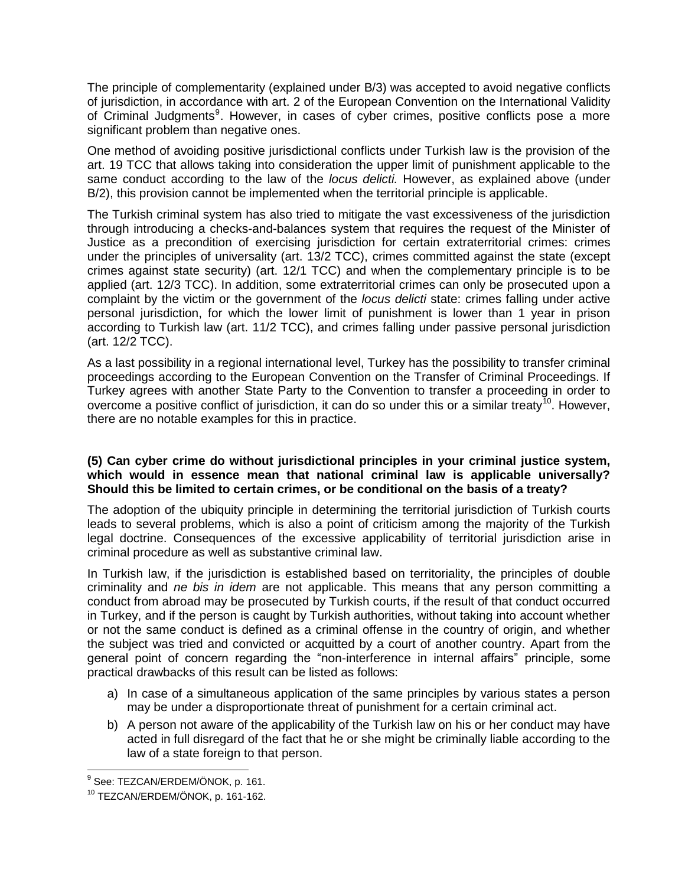The principle of complementarity (explained under B/3) was accepted to avoid negative conflicts of jurisdiction, in accordance with art. 2 of the European Convention on the International Validity of Criminal Judgments<sup>9</sup>. However, in cases of cyber crimes, positive conflicts pose a more significant problem than negative ones.

One method of avoiding positive jurisdictional conflicts under Turkish law is the provision of the art. 19 TCC that allows taking into consideration the upper limit of punishment applicable to the same conduct according to the law of the *locus delicti.* However, as explained above (under B/2), this provision cannot be implemented when the territorial principle is applicable.

The Turkish criminal system has also tried to mitigate the vast excessiveness of the jurisdiction through introducing a checks-and-balances system that requires the request of the Minister of Justice as a precondition of exercising jurisdiction for certain extraterritorial crimes: crimes under the principles of universality (art. 13/2 TCC), crimes committed against the state (except crimes against state security) (art. 12/1 TCC) and when the complementary principle is to be applied (art. 12/3 TCC). In addition, some extraterritorial crimes can only be prosecuted upon a complaint by the victim or the government of the *locus delicti* state: crimes falling under active personal jurisdiction, for which the lower limit of punishment is lower than 1 year in prison according to Turkish law (art. 11/2 TCC), and crimes falling under passive personal jurisdiction (art. 12/2 TCC).

As a last possibility in a regional international level, Turkey has the possibility to transfer criminal proceedings according to the European Convention on the Transfer of Criminal Proceedings. If Turkey agrees with another State Party to the Convention to transfer a proceeding in order to overcome a positive conflict of jurisdiction, it can do so under this or a similar treaty<sup>10</sup>. However, there are no notable examples for this in practice.

## **(5) Can cyber crime do without jurisdictional principles in your criminal justice system, which would in essence mean that national criminal law is applicable universally? Should this be limited to certain crimes, or be conditional on the basis of a treaty?**

The adoption of the ubiquity principle in determining the territorial jurisdiction of Turkish courts leads to several problems, which is also a point of criticism among the majority of the Turkish legal doctrine. Consequences of the excessive applicability of territorial jurisdiction arise in criminal procedure as well as substantive criminal law.

In Turkish law, if the jurisdiction is established based on territoriality, the principles of double criminality and *ne bis in idem* are not applicable. This means that any person committing a conduct from abroad may be prosecuted by Turkish courts, if the result of that conduct occurred in Turkey, and if the person is caught by Turkish authorities, without taking into account whether or not the same conduct is defined as a criminal offense in the country of origin, and whether the subject was tried and convicted or acquitted by a court of another country. Apart from the general point of concern regarding the "non-interference in internal affairs" principle, some practical drawbacks of this result can be listed as follows:

- a) In case of a simultaneous application of the same principles by various states a person may be under a disproportionate threat of punishment for a certain criminal act.
- b) A person not aware of the applicability of the Turkish law on his or her conduct may have acted in full disregard of the fact that he or she might be criminally liable according to the law of a state foreign to that person.

 9 See: TEZCAN/ERDEM/ÖNOK, p. 161.

<sup>10</sup> TEZCAN/ERDEM/ÖNOK, p. 161-162.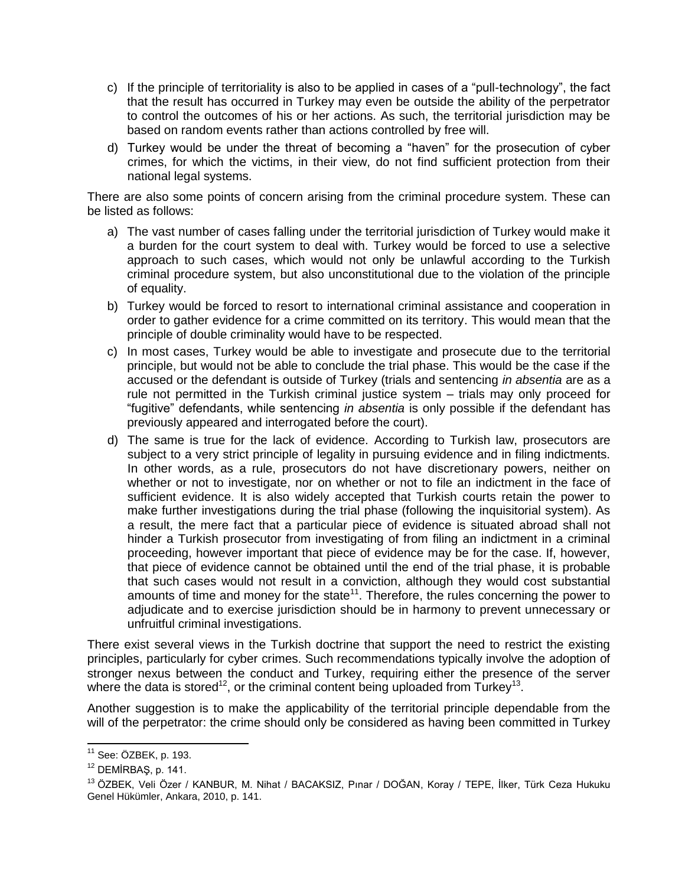- c) If the principle of territoriality is also to be applied in cases of a "pull-technology", the fact that the result has occurred in Turkey may even be outside the ability of the perpetrator to control the outcomes of his or her actions. As such, the territorial jurisdiction may be based on random events rather than actions controlled by free will.
- d) Turkey would be under the threat of becoming a "haven" for the prosecution of cyber crimes, for which the victims, in their view, do not find sufficient protection from their national legal systems.

There are also some points of concern arising from the criminal procedure system. These can be listed as follows:

- a) The vast number of cases falling under the territorial jurisdiction of Turkey would make it a burden for the court system to deal with. Turkey would be forced to use a selective approach to such cases, which would not only be unlawful according to the Turkish criminal procedure system, but also unconstitutional due to the violation of the principle of equality.
- b) Turkey would be forced to resort to international criminal assistance and cooperation in order to gather evidence for a crime committed on its territory. This would mean that the principle of double criminality would have to be respected.
- c) In most cases, Turkey would be able to investigate and prosecute due to the territorial principle, but would not be able to conclude the trial phase. This would be the case if the accused or the defendant is outside of Turkey (trials and sentencing *in absentia* are as a rule not permitted in the Turkish criminal justice system – trials may only proceed for "fugitive" defendants, while sentencing *in absentia* is only possible if the defendant has previously appeared and interrogated before the court).
- d) The same is true for the lack of evidence. According to Turkish law, prosecutors are subject to a very strict principle of legality in pursuing evidence and in filing indictments. In other words, as a rule, prosecutors do not have discretionary powers, neither on whether or not to investigate, nor on whether or not to file an indictment in the face of sufficient evidence. It is also widely accepted that Turkish courts retain the power to make further investigations during the trial phase (following the inquisitorial system). As a result, the mere fact that a particular piece of evidence is situated abroad shall not hinder a Turkish prosecutor from investigating of from filing an indictment in a criminal proceeding, however important that piece of evidence may be for the case. If, however, that piece of evidence cannot be obtained until the end of the trial phase, it is probable that such cases would not result in a conviction, although they would cost substantial amounts of time and money for the state<sup>11</sup>. Therefore, the rules concerning the power to adjudicate and to exercise jurisdiction should be in harmony to prevent unnecessary or unfruitful criminal investigations.

There exist several views in the Turkish doctrine that support the need to restrict the existing principles, particularly for cyber crimes. Such recommendations typically involve the adoption of stronger nexus between the conduct and Turkey, requiring either the presence of the server where the data is stored<sup>12</sup>, or the criminal content being uploaded from Turkey<sup>13</sup>.

Another suggestion is to make the applicability of the territorial principle dependable from the will of the perpetrator: the crime should only be considered as having been committed in Turkey

 $\overline{a}$ 

<sup>&</sup>lt;sup>11</sup> See: ÖZBEK, p. 193.

<sup>12</sup> DEMİRBAŞ, p. 141.

<sup>&</sup>lt;sup>13</sup> ÖZBEK, Veli Özer / KANBUR, M. Nihat / BACAKSIZ, Pınar / DOĞAN, Koray / TEPE, İlker, Türk Ceza Hukuku Genel Hükümler, Ankara, 2010, p. 141.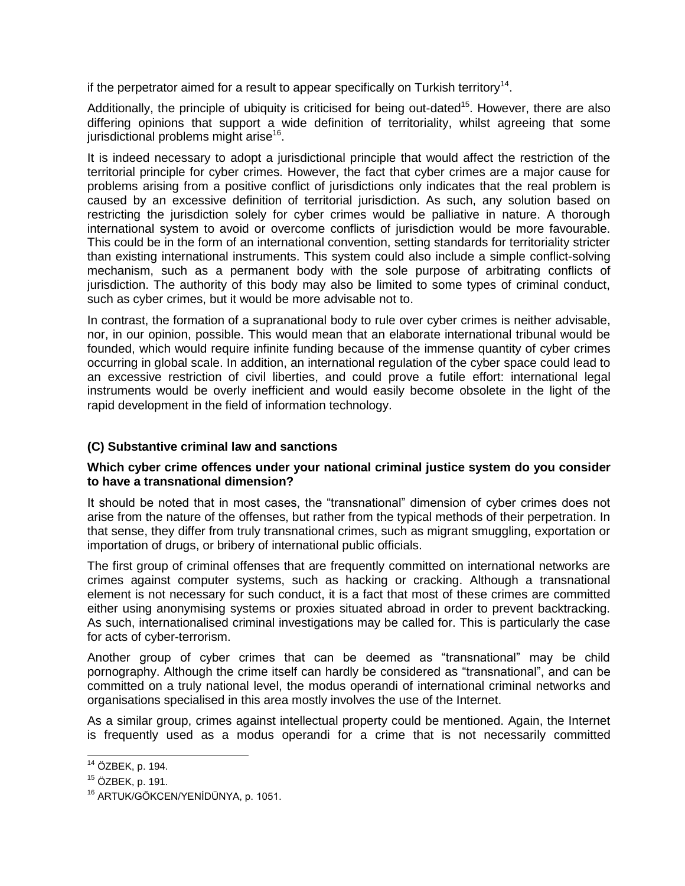if the perpetrator aimed for a result to appear specifically on Turkish territory<sup>14</sup>.

Additionally, the principle of ubiquity is criticised for being out-dated<sup>15</sup>. However, there are also differing opinions that support a wide definition of territoriality, whilst agreeing that some jurisdictional problems might arise<sup>16</sup>.

It is indeed necessary to adopt a jurisdictional principle that would affect the restriction of the territorial principle for cyber crimes. However, the fact that cyber crimes are a major cause for problems arising from a positive conflict of jurisdictions only indicates that the real problem is caused by an excessive definition of territorial jurisdiction. As such, any solution based on restricting the jurisdiction solely for cyber crimes would be palliative in nature. A thorough international system to avoid or overcome conflicts of jurisdiction would be more favourable. This could be in the form of an international convention, setting standards for territoriality stricter than existing international instruments. This system could also include a simple conflict-solving mechanism, such as a permanent body with the sole purpose of arbitrating conflicts of jurisdiction. The authority of this body may also be limited to some types of criminal conduct, such as cyber crimes, but it would be more advisable not to.

In contrast, the formation of a supranational body to rule over cyber crimes is neither advisable, nor, in our opinion, possible. This would mean that an elaborate international tribunal would be founded, which would require infinite funding because of the immense quantity of cyber crimes occurring in global scale. In addition, an international regulation of the cyber space could lead to an excessive restriction of civil liberties, and could prove a futile effort: international legal instruments would be overly inefficient and would easily become obsolete in the light of the rapid development in the field of information technology.

## **(C) Substantive criminal law and sanctions**

## **Which cyber crime offences under your national criminal justice system do you consider to have a transnational dimension?**

It should be noted that in most cases, the "transnational" dimension of cyber crimes does not arise from the nature of the offenses, but rather from the typical methods of their perpetration. In that sense, they differ from truly transnational crimes, such as migrant smuggling, exportation or importation of drugs, or bribery of international public officials.

The first group of criminal offenses that are frequently committed on international networks are crimes against computer systems, such as hacking or cracking. Although a transnational element is not necessary for such conduct, it is a fact that most of these crimes are committed either using anonymising systems or proxies situated abroad in order to prevent backtracking. As such, internationalised criminal investigations may be called for. This is particularly the case for acts of cyber-terrorism.

Another group of cyber crimes that can be deemed as "transnational" may be child pornography. Although the crime itself can hardly be considered as "transnational", and can be committed on a truly national level, the modus operandi of international criminal networks and organisations specialised in this area mostly involves the use of the Internet.

As a similar group, crimes against intellectual property could be mentioned. Again, the Internet is frequently used as a modus operandi for a crime that is not necessarily committed

 <sup>14</sup> ÖZBEK, p. 194.

<sup>15</sup> ÖZBEK, p. 191.

<sup>&</sup>lt;sup>16</sup> ARTUK/GÖKCEN/YENİDÜNYA, p. 1051.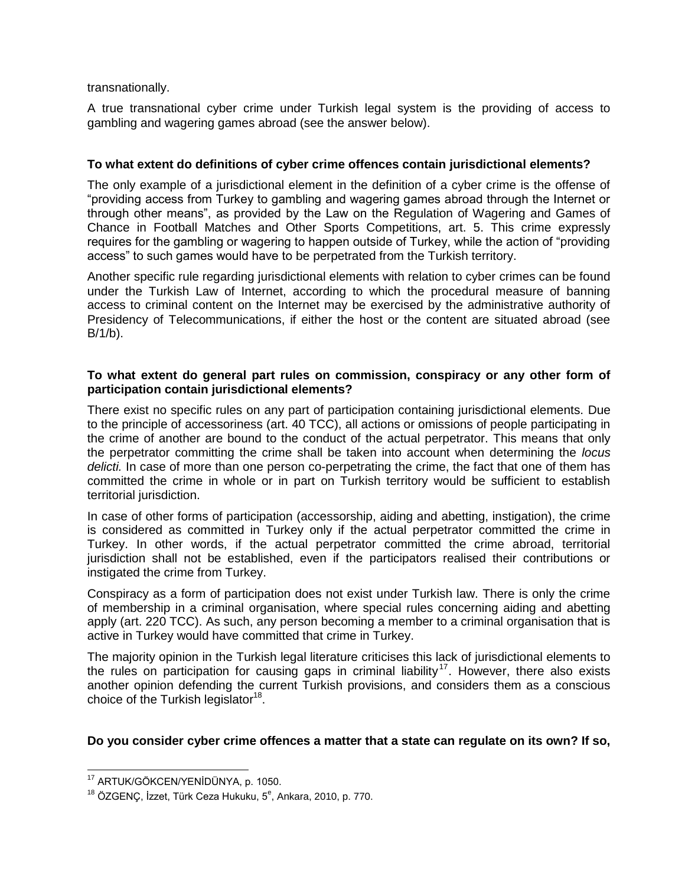transnationally.

A true transnational cyber crime under Turkish legal system is the providing of access to gambling and wagering games abroad (see the answer below).

## **To what extent do definitions of cyber crime offences contain jurisdictional elements?**

The only example of a jurisdictional element in the definition of a cyber crime is the offense of "providing access from Turkey to gambling and wagering games abroad through the Internet or through other means", as provided by the Law on the Regulation of Wagering and Games of Chance in Football Matches and Other Sports Competitions, art. 5. This crime expressly requires for the gambling or wagering to happen outside of Turkey, while the action of "providing access" to such games would have to be perpetrated from the Turkish territory.

Another specific rule regarding jurisdictional elements with relation to cyber crimes can be found under the Turkish Law of Internet, according to which the procedural measure of banning access to criminal content on the Internet may be exercised by the administrative authority of Presidency of Telecommunications, if either the host or the content are situated abroad (see  $B/1/b$ ).

## **To what extent do general part rules on commission, conspiracy or any other form of participation contain jurisdictional elements?**

There exist no specific rules on any part of participation containing jurisdictional elements. Due to the principle of accessoriness (art. 40 TCC), all actions or omissions of people participating in the crime of another are bound to the conduct of the actual perpetrator. This means that only the perpetrator committing the crime shall be taken into account when determining the *locus delicti.* In case of more than one person co-perpetrating the crime, the fact that one of them has committed the crime in whole or in part on Turkish territory would be sufficient to establish territorial jurisdiction.

In case of other forms of participation (accessorship, aiding and abetting, instigation), the crime is considered as committed in Turkey only if the actual perpetrator committed the crime in Turkey. In other words, if the actual perpetrator committed the crime abroad, territorial jurisdiction shall not be established, even if the participators realised their contributions or instigated the crime from Turkey.

Conspiracy as a form of participation does not exist under Turkish law. There is only the crime of membership in a criminal organisation, where special rules concerning aiding and abetting apply (art. 220 TCC). As such, any person becoming a member to a criminal organisation that is active in Turkey would have committed that crime in Turkey.

The majority opinion in the Turkish legal literature criticises this lack of jurisdictional elements to the rules on participation for causing gaps in criminal liability<sup>17</sup>. However, there also exists another opinion defending the current Turkish provisions, and considers them as a conscious choice of the Turkish legislator $18$ .

## **Do you consider cyber crime offences a matter that a state can regulate on its own? If so,**

 $\overline{a}$ <sup>17</sup> ARTUK/GÖKCEN/YENİDÜNYA, p. 1050.

 $^{18}$  ÖZGENÇ, İzzet, Türk Ceza Hukuku, 5 $^{\rm e}$ , Ankara, 2010, p. 770.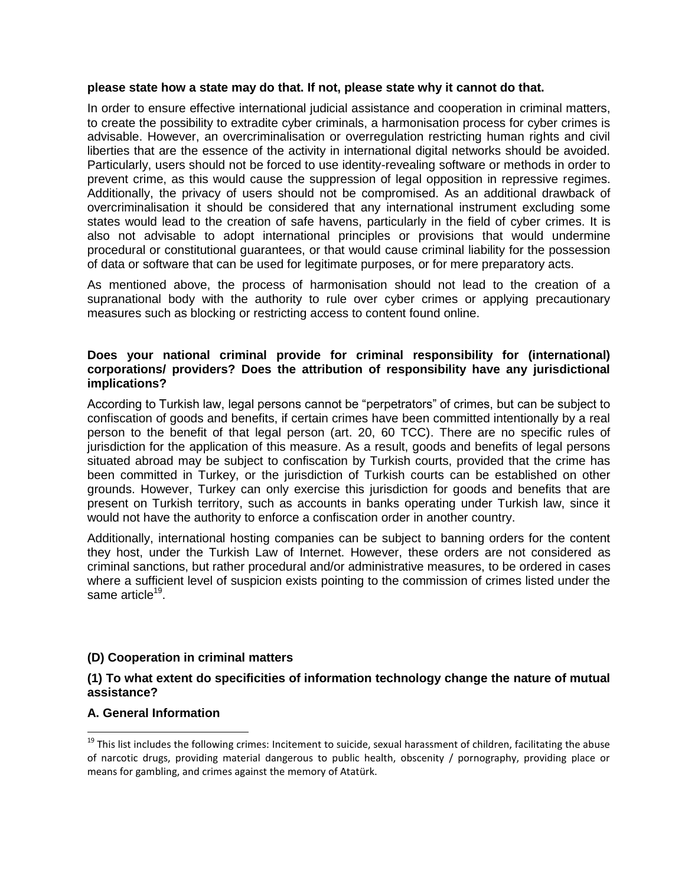#### **please state how a state may do that. If not, please state why it cannot do that.**

In order to ensure effective international judicial assistance and cooperation in criminal matters, to create the possibility to extradite cyber criminals, a harmonisation process for cyber crimes is advisable. However, an overcriminalisation or overregulation restricting human rights and civil liberties that are the essence of the activity in international digital networks should be avoided. Particularly, users should not be forced to use identity-revealing software or methods in order to prevent crime, as this would cause the suppression of legal opposition in repressive regimes. Additionally, the privacy of users should not be compromised. As an additional drawback of overcriminalisation it should be considered that any international instrument excluding some states would lead to the creation of safe havens, particularly in the field of cyber crimes. It is also not advisable to adopt international principles or provisions that would undermine procedural or constitutional guarantees, or that would cause criminal liability for the possession of data or software that can be used for legitimate purposes, or for mere preparatory acts.

As mentioned above, the process of harmonisation should not lead to the creation of a supranational body with the authority to rule over cyber crimes or applying precautionary measures such as blocking or restricting access to content found online.

#### **Does your national criminal provide for criminal responsibility for (international) corporations/ providers? Does the attribution of responsibility have any jurisdictional implications?**

According to Turkish law, legal persons cannot be "perpetrators" of crimes, but can be subject to confiscation of goods and benefits, if certain crimes have been committed intentionally by a real person to the benefit of that legal person (art. 20, 60 TCC). There are no specific rules of jurisdiction for the application of this measure. As a result, goods and benefits of legal persons situated abroad may be subject to confiscation by Turkish courts, provided that the crime has been committed in Turkey, or the jurisdiction of Turkish courts can be established on other grounds. However, Turkey can only exercise this jurisdiction for goods and benefits that are present on Turkish territory, such as accounts in banks operating under Turkish law, since it would not have the authority to enforce a confiscation order in another country.

Additionally, international hosting companies can be subject to banning orders for the content they host, under the Turkish Law of Internet. However, these orders are not considered as criminal sanctions, but rather procedural and/or administrative measures, to be ordered in cases where a sufficient level of suspicion exists pointing to the commission of crimes listed under the same article<sup>19</sup>.

## **(D) Cooperation in criminal matters**

#### **(1) To what extent do specificities of information technology change the nature of mutual assistance?**

#### **A. General Information**

 $\overline{a}$ 

<sup>&</sup>lt;sup>19</sup> This list includes the following crimes: Incitement to suicide, sexual harassment of children, facilitating the abuse of narcotic drugs, providing material dangerous to public health, obscenity / pornography, providing place or means for gambling, and crimes against the memory of Atatürk.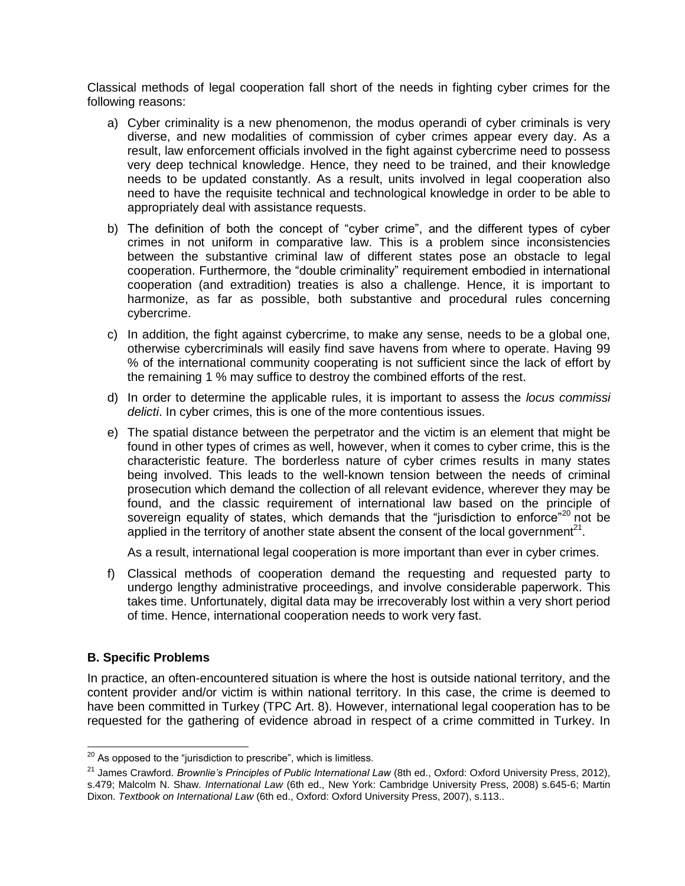Classical methods of legal cooperation fall short of the needs in fighting cyber crimes for the following reasons:

- a) Cyber criminality is a new phenomenon, the modus operandi of cyber criminals is very diverse, and new modalities of commission of cyber crimes appear every day. As a result, law enforcement officials involved in the fight against cybercrime need to possess very deep technical knowledge. Hence, they need to be trained, and their knowledge needs to be updated constantly. As a result, units involved in legal cooperation also need to have the requisite technical and technological knowledge in order to be able to appropriately deal with assistance requests.
- b) The definition of both the concept of "cyber crime", and the different types of cyber crimes in not uniform in comparative law. This is a problem since inconsistencies between the substantive criminal law of different states pose an obstacle to legal cooperation. Furthermore, the "double criminality" requirement embodied in international cooperation (and extradition) treaties is also a challenge. Hence, it is important to harmonize, as far as possible, both substantive and procedural rules concerning cybercrime.
- c) In addition, the fight against cybercrime, to make any sense, needs to be a global one, otherwise cybercriminals will easily find save havens from where to operate. Having 99 % of the international community cooperating is not sufficient since the lack of effort by the remaining 1 % may suffice to destroy the combined efforts of the rest.
- d) In order to determine the applicable rules, it is important to assess the *locus commissi delicti*. In cyber crimes, this is one of the more contentious issues.
- e) The spatial distance between the perpetrator and the victim is an element that might be found in other types of crimes as well, however, when it comes to cyber crime, this is the characteristic feature. The borderless nature of cyber crimes results in many states being involved. This leads to the well-known tension between the needs of criminal prosecution which demand the collection of all relevant evidence, wherever they may be found, and the classic requirement of international law based on the principle of sovereign equality of states, which demands that the "jurisdiction to enforce"<sup>20</sup> not be applied in the territory of another state absent the consent of the local government<sup>21</sup>.

As a result, international legal cooperation is more important than ever in cyber crimes.

f) Classical methods of cooperation demand the requesting and requested party to undergo lengthy administrative proceedings, and involve considerable paperwork. This takes time. Unfortunately, digital data may be irrecoverably lost within a very short period of time. Hence, international cooperation needs to work very fast.

#### **B. Specific Problems**

 $\overline{\phantom{a}}$ 

In practice, an often-encountered situation is where the host is outside national territory, and the content provider and/or victim is within national territory. In this case, the crime is deemed to have been committed in Turkey (TPC Art. 8). However, international legal cooperation has to be requested for the gathering of evidence abroad in respect of a crime committed in Turkey. In

 $^{20}$  As opposed to the "jurisdiction to prescribe", which is limitless.

<sup>&</sup>lt;sup>21</sup> James Crawford. *Brownlie's Principles of Public International Law* (8th ed., Oxford: Oxford University Press, 2012), s.479; Malcolm N. Shaw. *International Law* (6th ed., New York: Cambridge University Press, 2008) s.645-6; Martin Dixon. *Textbook on International Law* (6th ed., Oxford: Oxford University Press, 2007), s.113..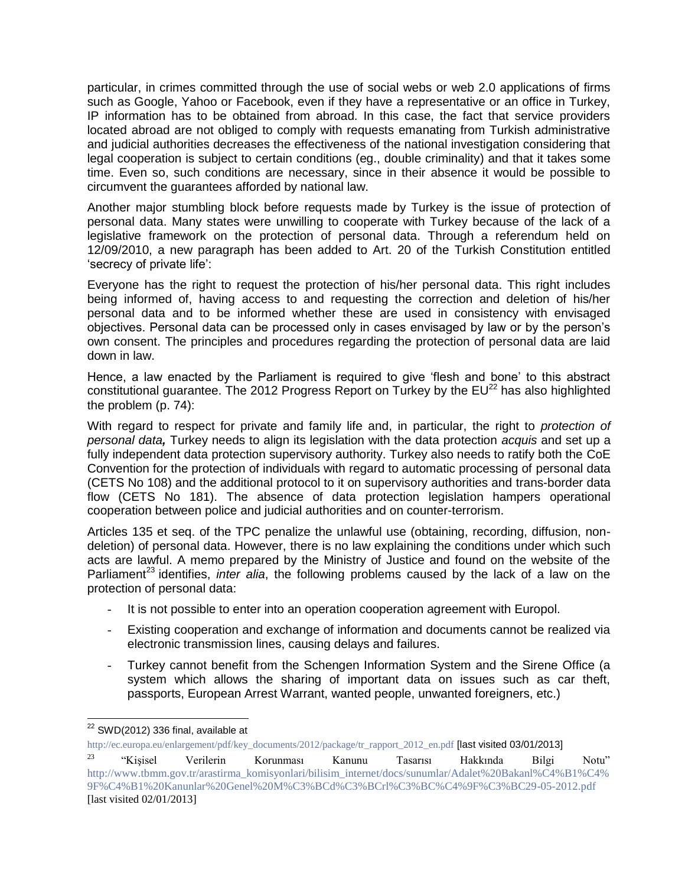particular, in crimes committed through the use of social webs or web 2.0 applications of firms such as Google, Yahoo or Facebook, even if they have a representative or an office in Turkey, IP information has to be obtained from abroad. In this case, the fact that service providers located abroad are not obliged to comply with requests emanating from Turkish administrative and judicial authorities decreases the effectiveness of the national investigation considering that legal cooperation is subject to certain conditions (eg., double criminality) and that it takes some time. Even so, such conditions are necessary, since in their absence it would be possible to circumvent the guarantees afforded by national law.

Another major stumbling block before requests made by Turkey is the issue of protection of personal data. Many states were unwilling to cooperate with Turkey because of the lack of a legislative framework on the protection of personal data. Through a referendum held on 12/09/2010, a new paragraph has been added to Art. 20 of the Turkish Constitution entitled 'secrecy of private life':

Everyone has the right to request the protection of his/her personal data. This right includes being informed of, having access to and requesting the correction and deletion of his/her personal data and to be informed whether these are used in consistency with envisaged objectives. Personal data can be processed only in cases envisaged by law or by the person's own consent. The principles and procedures regarding the protection of personal data are laid down in law.

Hence, a law enacted by the Parliament is required to give 'flesh and bone' to this abstract constitutional guarantee. The 2012 Progress Report on Turkey by the  $EU^{22}$  has also highlighted the problem (p. 74):

With regard to respect for private and family life and, in particular, the right to *protection of personal data,* Turkey needs to align its legislation with the data protection *acquis* and set up a fully independent data protection supervisory authority. Turkey also needs to ratify both the CoE Convention for the protection of individuals with regard to automatic processing of personal data (CETS No 108) and the additional protocol to it on supervisory authorities and trans-border data flow (CETS No 181). The absence of data protection legislation hampers operational cooperation between police and judicial authorities and on counter-terrorism.

Articles 135 et seq. of the TPC penalize the unlawful use (obtaining, recording, diffusion, nondeletion) of personal data. However, there is no law explaining the conditions under which such acts are lawful. A memo prepared by the Ministry of Justice and found on the website of the Parliament<sup>23</sup> identifies, *inter alia*, the following problems caused by the lack of a law on the protection of personal data:

- It is not possible to enter into an operation cooperation agreement with Europol.
- Existing cooperation and exchange of information and documents cannot be realized via electronic transmission lines, causing delays and failures.
- Turkey cannot benefit from the Schengen Information System and the Sirene Office (a system which allows the sharing of important data on issues such as car theft, passports, European Arrest Warrant, wanted people, unwanted foreigners, etc.)

 $\overline{a}$  $^{22}$  SWD(2012) 336 final, available at

[http://ec.europa.eu/enlargement/pdf/key\\_documents/2012/package/tr\\_rapport\\_2012\\_en.pdf](http://ec.europa.eu/enlargement/pdf/key_documents/2012/package/tr_rapport_2012_en.pdf) [last visited 03/01/2013]

<sup>&</sup>lt;sup>23</sup> "Kişisel Verilerin Korunması Kanunu Tasarısı Hakkında Bilgi Notu" [http://www.tbmm.gov.tr/arastirma\\_komisyonlari/bilisim\\_internet/docs/sunumlar/Adalet%20Bakanl%C4%B1%C4%](http://www.tbmm.gov.tr/arastirma_komisyonlari/bilisim_internet/docs/sunumlar/Adalet%20Bakanl%C4%B1%C4%9F%C4%B1%20Kanunlar%20Genel%20M%C3%BCd%C3%BCrl%C3%BC%C4%9F%C3%BC29-05-2012.pdf) [9F%C4%B1%20Kanunlar%20Genel%20M%C3%BCd%C3%BCrl%C3%BC%C4%9F%C3%BC29-05-2012.pdf](http://www.tbmm.gov.tr/arastirma_komisyonlari/bilisim_internet/docs/sunumlar/Adalet%20Bakanl%C4%B1%C4%9F%C4%B1%20Kanunlar%20Genel%20M%C3%BCd%C3%BCrl%C3%BC%C4%9F%C3%BC29-05-2012.pdf) [last visited 02/01/2013]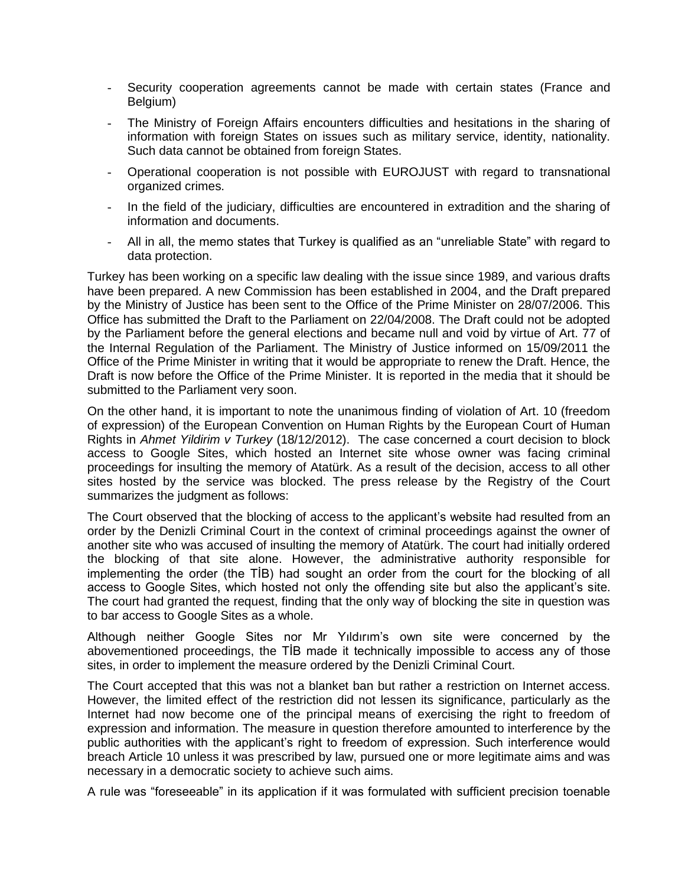- Security cooperation agreements cannot be made with certain states (France and Belgium)
- The Ministry of Foreign Affairs encounters difficulties and hesitations in the sharing of information with foreign States on issues such as military service, identity, nationality. Such data cannot be obtained from foreign States.
- Operational cooperation is not possible with EUROJUST with regard to transnational organized crimes.
- In the field of the judiciary, difficulties are encountered in extradition and the sharing of information and documents.
- All in all, the memo states that Turkey is qualified as an "unreliable State" with regard to data protection.

Turkey has been working on a specific law dealing with the issue since 1989, and various drafts have been prepared. A new Commission has been established in 2004, and the Draft prepared by the Ministry of Justice has been sent to the Office of the Prime Minister on 28/07/2006. This Office has submitted the Draft to the Parliament on 22/04/2008. The Draft could not be adopted by the Parliament before the general elections and became null and void by virtue of Art. 77 of the Internal Regulation of the Parliament. The Ministry of Justice informed on 15/09/2011 the Office of the Prime Minister in writing that it would be appropriate to renew the Draft. Hence, the Draft is now before the Office of the Prime Minister. It is reported in the media that it should be submitted to the Parliament very soon.

On the other hand, it is important to note the unanimous finding of violation of Art. 10 (freedom of expression) of the European Convention on Human Rights by the European Court of Human Rights in *Ahmet Yildirim v Turkey* (18/12/2012). The case concerned a court decision to block access to Google Sites, which hosted an Internet site whose owner was facing criminal proceedings for insulting the memory of Atatürk. As a result of the decision, access to all other sites hosted by the service was blocked. The press release by the Registry of the Court summarizes the judgment as follows:

The Court observed that the blocking of access to the applicant's website had resulted from an order by the Denizli Criminal Court in the context of criminal proceedings against the owner of another site who was accused of insulting the memory of Atatürk. The court had initially ordered the blocking of that site alone. However, the administrative authority responsible for implementing the order (the TİB) had sought an order from the court for the blocking of all access to Google Sites, which hosted not only the offending site but also the applicant's site. The court had granted the request, finding that the only way of blocking the site in question was to bar access to Google Sites as a whole.

Although neither Google Sites nor Mr Yıldırım's own site were concerned by the abovementioned proceedings, the TİB made it technically impossible to access any of those sites, in order to implement the measure ordered by the Denizli Criminal Court.

The Court accepted that this was not a blanket ban but rather a restriction on Internet access. However, the limited effect of the restriction did not lessen its significance, particularly as the Internet had now become one of the principal means of exercising the right to freedom of expression and information. The measure in question therefore amounted to interference by the public authorities with the applicant's right to freedom of expression. Such interference would breach Article 10 unless it was prescribed by law, pursued one or more legitimate aims and was necessary in a democratic society to achieve such aims.

A rule was "foreseeable" in its application if it was formulated with sufficient precision toenable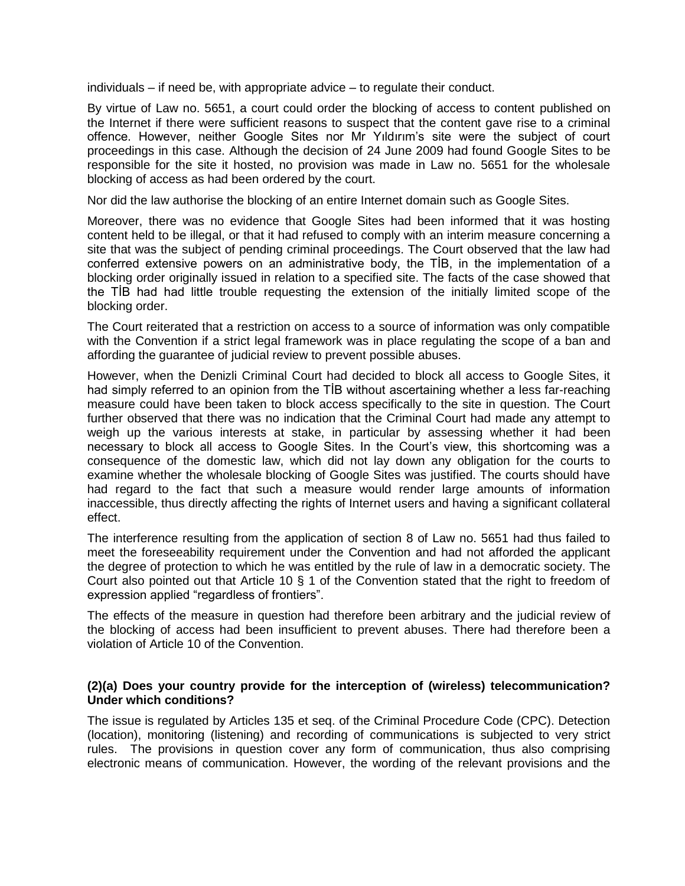individuals – if need be, with appropriate advice – to regulate their conduct.

By virtue of Law no. 5651, a court could order the blocking of access to content published on the Internet if there were sufficient reasons to suspect that the content gave rise to a criminal offence. However, neither Google Sites nor Mr Yıldırım's site were the subject of court proceedings in this case. Although the decision of 24 June 2009 had found Google Sites to be responsible for the site it hosted, no provision was made in Law no. 5651 for the wholesale blocking of access as had been ordered by the court.

Nor did the law authorise the blocking of an entire Internet domain such as Google Sites.

Moreover, there was no evidence that Google Sites had been informed that it was hosting content held to be illegal, or that it had refused to comply with an interim measure concerning a site that was the subject of pending criminal proceedings. The Court observed that the law had conferred extensive powers on an administrative body, the TİB, in the implementation of a blocking order originally issued in relation to a specified site. The facts of the case showed that the TİB had had little trouble requesting the extension of the initially limited scope of the blocking order.

The Court reiterated that a restriction on access to a source of information was only compatible with the Convention if a strict legal framework was in place regulating the scope of a ban and affording the guarantee of judicial review to prevent possible abuses.

However, when the Denizli Criminal Court had decided to block all access to Google Sites, it had simply referred to an opinion from the TİB without ascertaining whether a less far-reaching measure could have been taken to block access specifically to the site in question. The Court further observed that there was no indication that the Criminal Court had made any attempt to weigh up the various interests at stake, in particular by assessing whether it had been necessary to block all access to Google Sites. In the Court's view, this shortcoming was a consequence of the domestic law, which did not lay down any obligation for the courts to examine whether the wholesale blocking of Google Sites was justified. The courts should have had regard to the fact that such a measure would render large amounts of information inaccessible, thus directly affecting the rights of Internet users and having a significant collateral effect.

The interference resulting from the application of section 8 of Law no. 5651 had thus failed to meet the foreseeability requirement under the Convention and had not afforded the applicant the degree of protection to which he was entitled by the rule of law in a democratic society. The Court also pointed out that Article 10 § 1 of the Convention stated that the right to freedom of expression applied "regardless of frontiers".

The effects of the measure in question had therefore been arbitrary and the judicial review of the blocking of access had been insufficient to prevent abuses. There had therefore been a violation of Article 10 of the Convention.

#### **(2)(a) Does your country provide for the interception of (wireless) telecommunication? Under which conditions?**

The issue is regulated by Articles 135 et seq. of the Criminal Procedure Code (CPC). Detection (location), monitoring (listening) and recording of communications is subjected to very strict rules. The provisions in question cover any form of communication, thus also comprising electronic means of communication. However, the wording of the relevant provisions and the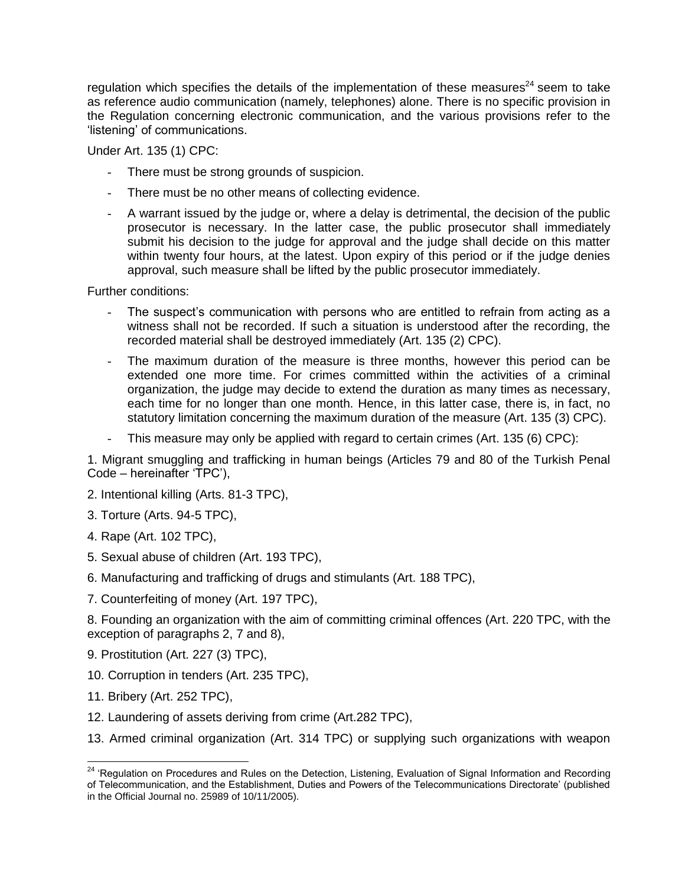regulation which specifies the details of the implementation of these measures<sup>24</sup> seem to take as reference audio communication (namely, telephones) alone. There is no specific provision in the Regulation concerning electronic communication, and the various provisions refer to the 'listening' of communications.

Under Art. 135 (1) CPC:

- There must be strong grounds of suspicion.
- There must be no other means of collecting evidence.
- A warrant issued by the judge or, where a delay is detrimental, the decision of the public prosecutor is necessary. In the latter case, the public prosecutor shall immediately submit his decision to the judge for approval and the judge shall decide on this matter within twenty four hours, at the latest. Upon expiry of this period or if the judge denies approval, such measure shall be lifted by the public prosecutor immediately.

Further conditions:

- The suspect's communication with persons who are entitled to refrain from acting as a witness shall not be recorded. If such a situation is understood after the recording, the recorded material shall be destroyed immediately (Art. 135 (2) CPC).
- The maximum duration of the measure is three months, however this period can be extended one more time. For crimes committed within the activities of a criminal organization, the judge may decide to extend the duration as many times as necessary, each time for no longer than one month. Hence, in this latter case, there is, in fact, no statutory limitation concerning the maximum duration of the measure (Art. 135 (3) CPC).
- This measure may only be applied with regard to certain crimes (Art. 135 (6) CPC):

1. Migrant smuggling and trafficking in human beings (Articles 79 and 80 of the Turkish Penal Code – hereinafter 'TPC'),

- 2. Intentional killing (Arts. 81-3 TPC),
- 3. Torture (Arts. 94-5 TPC),
- 4. Rape (Art. 102 TPC),
- 5. Sexual abuse of children (Art. 193 TPC),
- 6. Manufacturing and trafficking of drugs and stimulants (Art. 188 TPC),
- 7. Counterfeiting of money (Art. 197 TPC),

8. Founding an organization with the aim of committing criminal offences (Art. 220 TPC, with the exception of paragraphs 2, 7 and 8),

- 9. Prostitution (Art. 227 (3) TPC),
- 10. Corruption in tenders (Art. 235 TPC),
- 11. Bribery (Art. 252 TPC),

- 12. Laundering of assets deriving from crime (Art.282 TPC),
- 13. Armed criminal organization (Art. 314 TPC) or supplying such organizations with weapon

<sup>&</sup>lt;sup>24</sup> 'Regulation on Procedures and Rules on the Detection, Listening, Evaluation of Signal Information and Recording of Telecommunication, and the Establishment, Duties and Powers of the Telecommunications Directorate' (published in the Official Journal no. 25989 of 10/11/2005).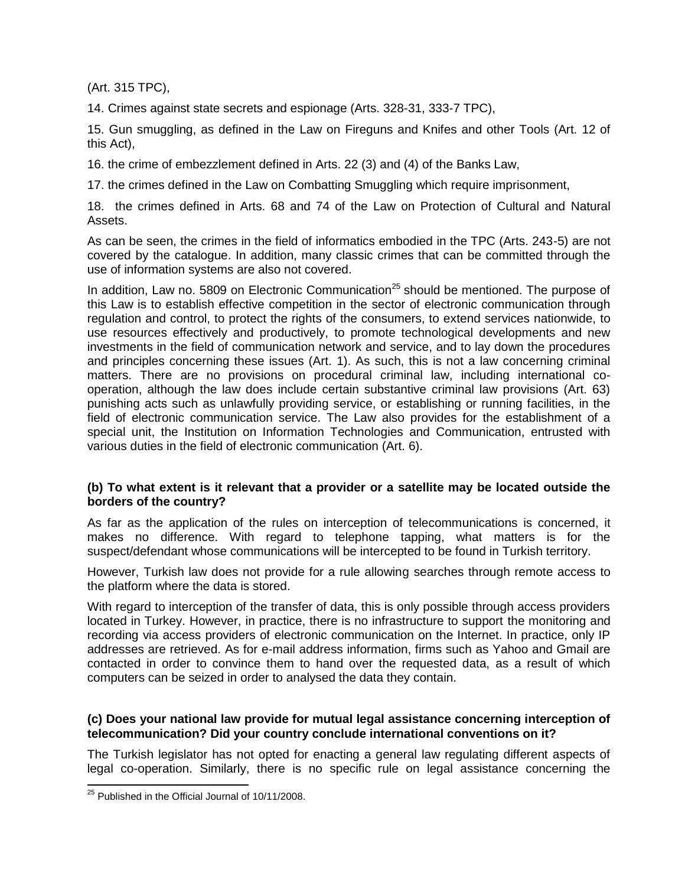(Art. 315 TPC),

14. Crimes against state secrets and espionage (Arts. 328-31, 333-7 TPC),

15. Gun smuggling, as defined in the Law on Fireguns and Knifes and other Tools (Art. 12 of this Act),

16. the crime of embezzlement defined in Arts. 22 (3) and (4) of the Banks Law,

17. the crimes defined in the Law on Combatting Smuggling which require imprisonment,

18. the crimes defined in Arts. 68 and 74 of the Law on Protection of Cultural and Natural Assets.

As can be seen, the crimes in the field of informatics embodied in the TPC (Arts. 243-5) are not covered by the catalogue. In addition, many classic crimes that can be committed through the use of information systems are also not covered.

In addition, Law no. 5809 on Electronic Communication<sup>25</sup> should be mentioned. The purpose of this Law is to establish effective competition in the sector of electronic communication through regulation and control, to protect the rights of the consumers, to extend services nationwide, to use resources effectively and productively, to promote technological developments and new investments in the field of communication network and service, and to lay down the procedures and principles concerning these issues (Art. 1). As such, this is not a law concerning criminal matters. There are no provisions on procedural criminal law, including international cooperation, although the law does include certain substantive criminal law provisions (Art. 63) punishing acts such as unlawfully providing service, or establishing or running facilities, in the field of electronic communication service. The Law also provides for the establishment of a special unit, the Institution on Information Technologies and Communication, entrusted with various duties in the field of electronic communication (Art. 6).

## **(b) To what extent is it relevant that a provider or a satellite may be located outside the borders of the country?**

As far as the application of the rules on interception of telecommunications is concerned, it makes no difference. With regard to telephone tapping, what matters is for the suspect/defendant whose communications will be intercepted to be found in Turkish territory.

However, Turkish law does not provide for a rule allowing searches through remote access to the platform where the data is stored.

With regard to interception of the transfer of data, this is only possible through access providers located in Turkey. However, in practice, there is no infrastructure to support the monitoring and recording via access providers of electronic communication on the Internet. In practice, only IP addresses are retrieved. As for e-mail address information, firms such as Yahoo and Gmail are contacted in order to convince them to hand over the requested data, as a result of which computers can be seized in order to analysed the data they contain.

## **(c) Does your national law provide for mutual legal assistance concerning interception of telecommunication? Did your country conclude international conventions on it?**

The Turkish legislator has not opted for enacting a general law regulating different aspects of legal co-operation. Similarly, there is no specific rule on legal assistance concerning the

 $^{25}$  Published in the Official Journal of 10/11/2008.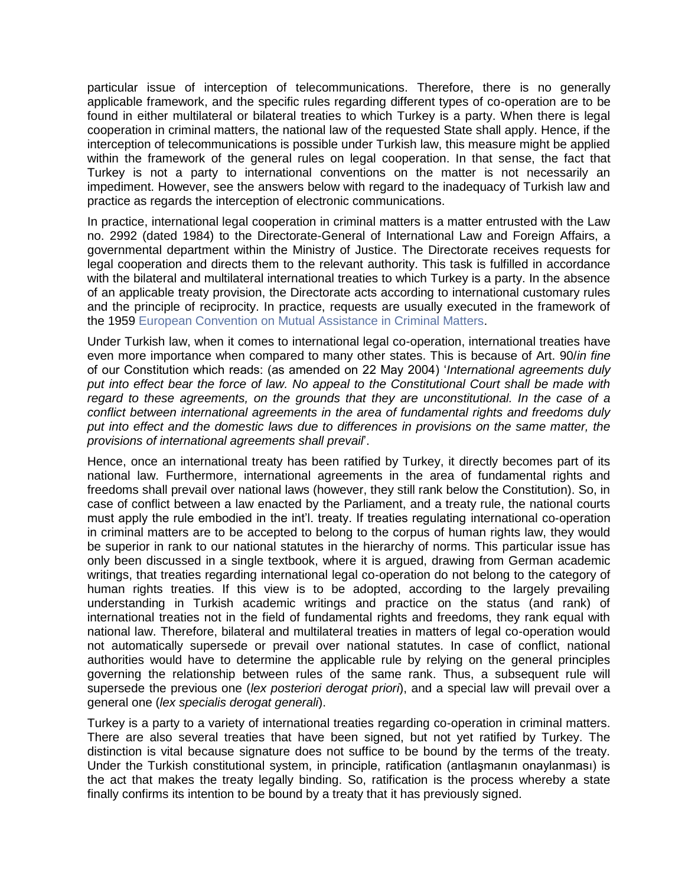particular issue of interception of telecommunications. Therefore, there is no generally applicable framework, and the specific rules regarding different types of co-operation are to be found in either multilateral or bilateral treaties to which Turkey is a party. When there is legal cooperation in criminal matters, the national law of the requested State shall apply. Hence, if the interception of telecommunications is possible under Turkish law, this measure might be applied within the framework of the general rules on legal cooperation. In that sense, the fact that Turkey is not a party to international conventions on the matter is not necessarily an impediment. However, see the answers below with regard to the inadequacy of Turkish law and practice as regards the interception of electronic communications.

In practice, international legal cooperation in criminal matters is a matter entrusted with the Law no. 2992 (dated 1984) to the Directorate-General of International Law and Foreign Affairs, a governmental department within the Ministry of Justice. The Directorate receives requests for legal cooperation and directs them to the relevant authority. This task is fulfilled in accordance with the bilateral and multilateral international treaties to which Turkey is a party. In the absence of an applicable treaty provision, the Directorate acts according to international customary rules and the principle of reciprocity. In practice, requests are usually executed in the framework of the 1959 [European Convention on Mutual Assistance in Criminal Matters.](http://conventions.coe.int/Treaty/Commun/QueVoulezVous.asp?NT=030&CM=7&DF=28/04/2010&CL=ENG)

Under Turkish law, when it comes to international legal co-operation, international treaties have even more importance when compared to many other states. This is because of Art. 90/*in fine*  of our Constitution which reads: (as amended on 22 May 2004) '*International agreements duly put into effect bear the force of law. No appeal to the Constitutional Court shall be made with regard to these agreements, on the grounds that they are unconstitutional. In the case of a conflict between international agreements in the area of fundamental rights and freedoms duly put into effect and the domestic laws due to differences in provisions on the same matter, the provisions of international agreements shall prevail*'.

Hence, once an international treaty has been ratified by Turkey, it directly becomes part of its national law. Furthermore, international agreements in the area of fundamental rights and freedoms shall prevail over national laws (however, they still rank below the Constitution). So, in case of conflict between a law enacted by the Parliament, and a treaty rule, the national courts must apply the rule embodied in the int'l. treaty. If treaties regulating international co-operation in criminal matters are to be accepted to belong to the corpus of human rights law, they would be superior in rank to our national statutes in the hierarchy of norms. This particular issue has only been discussed in a single textbook, where it is argued, drawing from German academic writings, that treaties regarding international legal co-operation do not belong to the category of human rights treaties. If this view is to be adopted, according to the largely prevailing understanding in Turkish academic writings and practice on the status (and rank) of international treaties not in the field of fundamental rights and freedoms, they rank equal with national law. Therefore, bilateral and multilateral treaties in matters of legal co-operation would not automatically supersede or prevail over national statutes. In case of conflict, national authorities would have to determine the applicable rule by relying on the general principles governing the relationship between rules of the same rank. Thus, a subsequent rule will supersede the previous one (*lex posteriori derogat priori*), and a special law will prevail over a general one (*lex specialis derogat generali*).

Turkey is a party to a variety of international treaties regarding co-operation in criminal matters. There are also several treaties that have been signed, but not yet ratified by Turkey. The distinction is vital because signature does not suffice to be bound by the terms of the treaty. Under the Turkish constitutional system, in principle, ratification (antlaşmanın onaylanması) is the act that makes the treaty legally binding. So, ratification is the process whereby a state finally confirms its intention to be bound by a treaty that it has previously signed.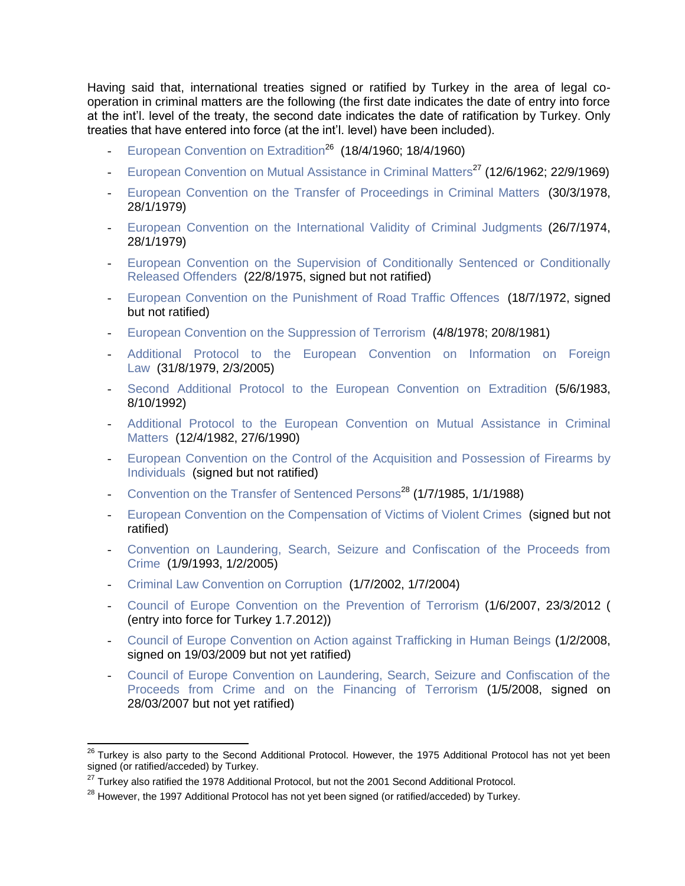Having said that, international treaties signed or ratified by Turkey in the area of legal cooperation in criminal matters are the following (the first date indicates the date of entry into force at the int'l. level of the treaty, the second date indicates the date of ratification by Turkey. Only treaties that have entered into force (at the int'l. level) have been included).

- [European Convention on Extradition](http://conventions.coe.int/Treaty/Commun/QueVoulezVous.asp?NT=024&CM=7&DF=28/04/2010&CL=ENG)<sup>26</sup> (18/4/1960; 18/4/1960)
- [European Convention on Mutual Assistance in Criminal Matters](http://conventions.coe.int/Treaty/Commun/QueVoulezVous.asp?NT=030&CM=7&DF=28/04/2010&CL=ENG)<sup>27</sup> (12/6/1962; 22/9/1969)
- [European Convention on the Transfer of Proceedings in Criminal Matters](http://conventions.coe.int/Treaty/Commun/QueVoulezVous.asp?NT=073&CM=7&DF=28/04/2010&CL=ENG) (30/3/1978, 28/1/1979)
- [European Convention on the International Validity of Criminal Judgments](http://conventions.coe.int/Treaty/Commun/QueVoulezVous.asp?NT=070&CM=7&DF=28/04/2010&CL=ENG) (26/7/1974, 28/1/1979)
- [European Convention on the Supervision of Conditionally Sentenced or Conditionally](http://conventions.coe.int/Treaty/Commun/QueVoulezVous.asp?NT=051&CM=7&DF=28/04/2010&CL=ENG)  [Released Offenders](http://conventions.coe.int/Treaty/Commun/QueVoulezVous.asp?NT=051&CM=7&DF=28/04/2010&CL=ENG) (22/8/1975, signed but not ratified)
- [European Convention on the Punishment of Road Traffic Offences](http://conventions.coe.int/Treaty/Commun/QueVoulezVous.asp?NT=052&CM=7&DF=28/04/2010&CL=ENG) (18/7/1972, signed but not ratified)
- [European Convention on the Suppression of Terrorism](http://conventions.coe.int/Treaty/Commun/QueVoulezVous.asp?NT=090&CM=7&DF=29/04/2010&CL=ENG) (4/8/1978; 20/8/1981)
- Additional Protocol to the European Convention on Information on Foreign [Law](http://conventions.coe.int/Treaty/Commun/QueVoulezVous.asp?NT=097&CM=7&DF=29/04/2010&CL=ENG) (31/8/1979, 2/3/2005)
- [Second Additional Protocol to the European Convention on Extradition](http://conventions.coe.int/Treaty/Commun/QueVoulezVous.asp?NT=098&CM=7&DF=29/04/2010&CL=ENG) (5/6/1983, 8/10/1992)
- Additional Protocol to the European Convention on Mutual Assistance in Criminal [Matters](http://conventions.coe.int/Treaty/Commun/QueVoulezVous.asp?NT=099&CM=7&DF=29/04/2010&CL=ENG) (12/4/1982, 27/6/1990)
- European Convention on the Control of the Acquisition and Possession of Firearms by [Individuals](http://conventions.coe.int/Treaty/Commun/QueVoulezVous.asp?NT=101&CM=7&DF=29/04/2010&CL=ENG) (signed but not ratified)
- [Convention on the Transfer of Sentenced Persons](http://conventions.coe.int/Treaty/Commun/QueVoulezVous.asp?NT=112&CM=7&DF=29/04/2010&CL=ENG)<sup>28</sup> (1/7/1985, 1/1/1988)
- [European Convention on the Compensation of Victims of Violent Crimes](http://conventions.coe.int/Treaty/Commun/QueVoulezVous.asp?NT=116&CM=7&DF=29/04/2010&CL=ENG) (signed but not ratified)
- [Convention on Laundering, Search, Seizure and Confiscation of the Proceeds from](http://conventions.coe.int/Treaty/Commun/QueVoulezVous.asp?NT=141&CM=7&DF=29/04/2010&CL=ENG)  [Crime](http://conventions.coe.int/Treaty/Commun/QueVoulezVous.asp?NT=141&CM=7&DF=29/04/2010&CL=ENG) (1/9/1993, 1/2/2005)
- [Criminal Law Convention on Corruption](http://conventions.coe.int/Treaty/Commun/QueVoulezVous.asp?NT=173&CM=7&DF=29/04/2010&CL=ENG) (1/7/2002, 1/7/2004)
- [Council of Europe Convention on the Prevention of Terrorism](http://conventions.coe.int/Treaty/Commun/QueVoulezVous.asp?NT=196&CM=7&DF=29/04/2010&CL=ENG) (1/6/2007, 23/3/2012 ( (entry into force for Turkey 1.7.2012))
- [Council of Europe Convention on Action against Trafficking in Human Beings](http://conventions.coe.int/Treaty/Commun/QueVoulezVous.asp?NT=197&CM=7&DF=29/04/2010&CL=ENG) (1/2/2008, signed on 19/03/2009 but not yet ratified)
- [Council of Europe Convention on Laundering, Search, Seizure and Confiscation of the](http://conventions.coe.int/Treaty/Commun/QueVoulezVous.asp?NT=198&CM=7&DF=29/04/2010&CL=ENG)  [Proceeds from Crime and on the Financing of Terrorism](http://conventions.coe.int/Treaty/Commun/QueVoulezVous.asp?NT=198&CM=7&DF=29/04/2010&CL=ENG) (1/5/2008, signed on 28/03/2007 but not yet ratified)

 $\overline{\phantom{a}}$ <sup>26</sup> Turkey is also party to the Second Additional Protocol. However, the 1975 Additional Protocol has not yet been signed (or ratified/acceded) by Turkey.

<sup>&</sup>lt;sup>27</sup> Turkey also ratified the 1978 Additional Protocol, but not the 2001 Second Additional Protocol.

<sup>&</sup>lt;sup>28</sup> However, the 1997 Additional Protocol has not yet been signed (or ratified/acceded) by Turkey.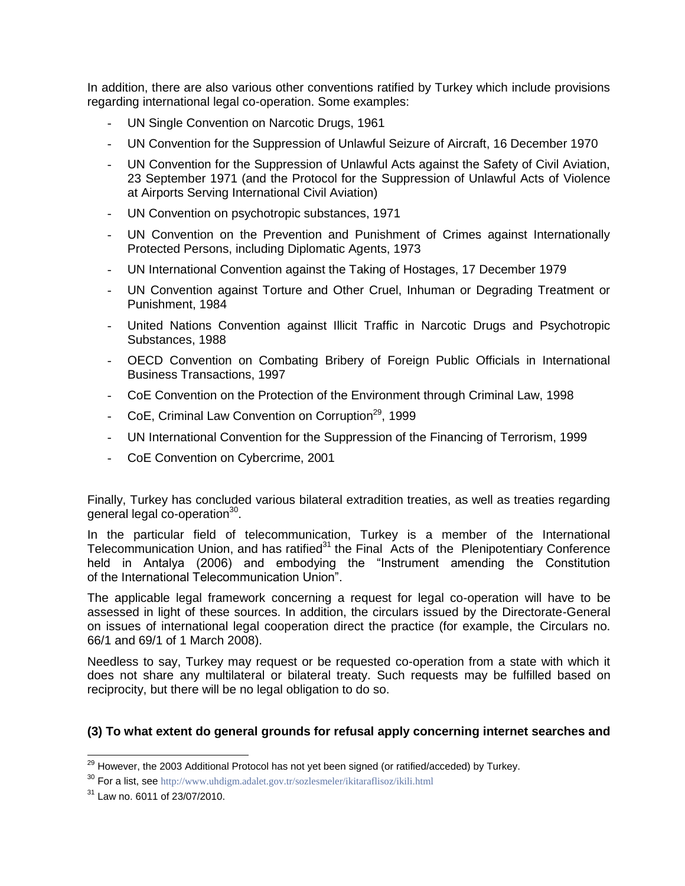In addition, there are also various other conventions ratified by Turkey which include provisions regarding international legal co-operation. Some examples:

- UN Single Convention on Narcotic Drugs, 1961
- UN Convention for the Suppression of Unlawful Seizure of Aircraft, 16 December 1970
- UN Convention for the Suppression of Unlawful Acts against the Safety of Civil Aviation, 23 September 1971 (and the Protocol for the Suppression of Unlawful Acts of Violence at Airports Serving International Civil Aviation)
- UN Convention on psychotropic substances, 1971
- UN Convention on the Prevention and Punishment of Crimes against Internationally Protected Persons, including Diplomatic Agents, 1973
- UN International Convention against the Taking of Hostages, 17 December 1979
- UN Convention against Torture and Other Cruel, Inhuman or Degrading Treatment or Punishment, 1984
- United Nations Convention against Illicit Traffic in Narcotic Drugs and Psychotropic Substances, 1988
- OECD Convention on Combating Bribery of Foreign Public Officials in International Business Transactions, 1997
- CoE Convention on the Protection of the Environment through Criminal Law, 1998
- CoE, Criminal Law Convention on Corruption<sup>29</sup>, 1999
- UN International Convention for the Suppression of the Financing of Terrorism, 1999
- CoE Convention on Cybercrime, 2001

Finally, Turkey has concluded various bilateral extradition treaties, as well as treaties regarding general legal co-operation<sup>30</sup>.

In the particular field of telecommunication, Turkey is a member of the International Telecommunication Union, and has ratified<sup>31</sup> the Final Acts of the Plenipotentiary Conference held in Antalya (2006) and embodying the "Instrument amending the Constitution of the International Telecommunication Union".

The applicable legal framework concerning a request for legal co-operation will have to be assessed in light of these sources. In addition, the circulars issued by the Directorate-General on issues of international legal cooperation direct the practice (for example, the Circulars no. 66/1 and 69/1 of 1 March 2008).

Needless to say, Turkey may request or be requested co-operation from a state with which it does not share any multilateral or bilateral treaty. Such requests may be fulfilled based on reciprocity, but there will be no legal obligation to do so.

## **(3) To what extent do general grounds for refusal apply concerning internet searches and**

 $^{29}$  However, the 2003 Additional Protocol has not yet been signed (or ratified/acceded) by Turkey.

<sup>30</sup> For a list, see <http://www.uhdigm.adalet.gov.tr/sozlesmeler/ikitaraflisoz/ikili.html>

<sup>31</sup> Law no. 6011 of 23/07/2010.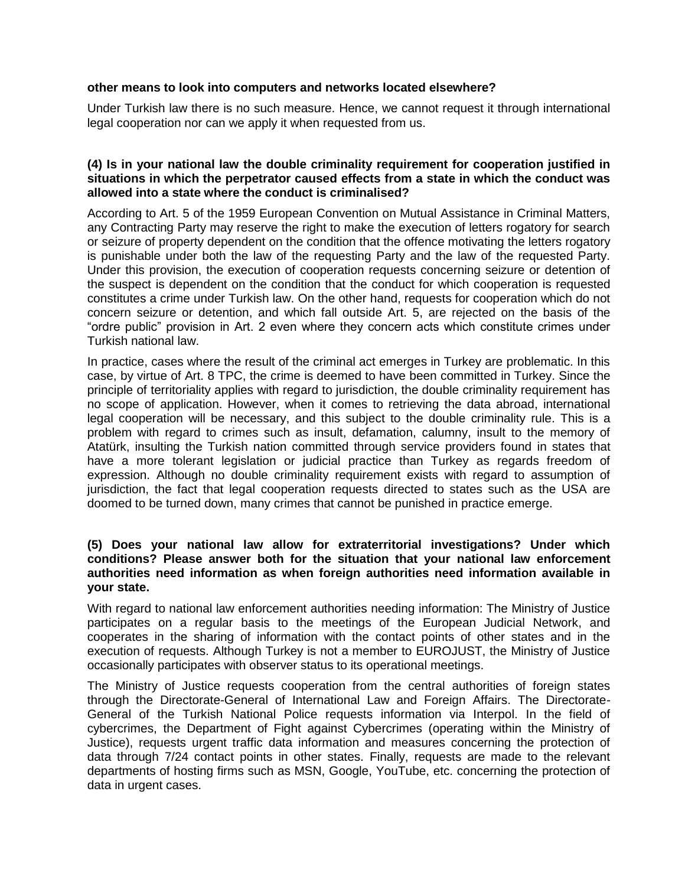#### **other means to look into computers and networks located elsewhere?**

Under Turkish law there is no such measure. Hence, we cannot request it through international legal cooperation nor can we apply it when requested from us.

#### **(4) Is in your national law the double criminality requirement for cooperation justified in situations in which the perpetrator caused effects from a state in which the conduct was allowed into a state where the conduct is criminalised?**

According to Art. 5 of the 1959 European Convention on Mutual Assistance in Criminal Matters, any Contracting Party may reserve the right to make the execution of letters rogatory for search or seizure of property dependent on the condition that the offence motivating the letters rogatory is punishable under both the law of the requesting Party and the law of the requested Party. Under this provision, the execution of cooperation requests concerning seizure or detention of the suspect is dependent on the condition that the conduct for which cooperation is requested constitutes a crime under Turkish law. On the other hand, requests for cooperation which do not concern seizure or detention, and which fall outside Art. 5, are rejected on the basis of the "ordre public" provision in Art. 2 even where they concern acts which constitute crimes under Turkish national law.

In practice, cases where the result of the criminal act emerges in Turkey are problematic. In this case, by virtue of Art. 8 TPC, the crime is deemed to have been committed in Turkey. Since the principle of territoriality applies with regard to jurisdiction, the double criminality requirement has no scope of application. However, when it comes to retrieving the data abroad, international legal cooperation will be necessary, and this subject to the double criminality rule. This is a problem with regard to crimes such as insult, defamation, calumny, insult to the memory of Atatürk, insulting the Turkish nation committed through service providers found in states that have a more tolerant legislation or judicial practice than Turkey as regards freedom of expression. Although no double criminality requirement exists with regard to assumption of jurisdiction, the fact that legal cooperation requests directed to states such as the USA are doomed to be turned down, many crimes that cannot be punished in practice emerge.

## **(5) Does your national law allow for extraterritorial investigations? Under which conditions? Please answer both for the situation that your national law enforcement authorities need information as when foreign authorities need information available in your state.**

With regard to national law enforcement authorities needing information: The Ministry of Justice participates on a regular basis to the meetings of the European Judicial Network, and cooperates in the sharing of information with the contact points of other states and in the execution of requests. Although Turkey is not a member to EUROJUST, the Ministry of Justice occasionally participates with observer status to its operational meetings.

The Ministry of Justice requests cooperation from the central authorities of foreign states through the Directorate-General of International Law and Foreign Affairs. The Directorate-General of the Turkish National Police requests information via Interpol. In the field of cybercrimes, the Department of Fight against Cybercrimes (operating within the Ministry of Justice), requests urgent traffic data information and measures concerning the protection of data through 7/24 contact points in other states. Finally, requests are made to the relevant departments of hosting firms such as MSN, Google, YouTube, etc. concerning the protection of data in urgent cases.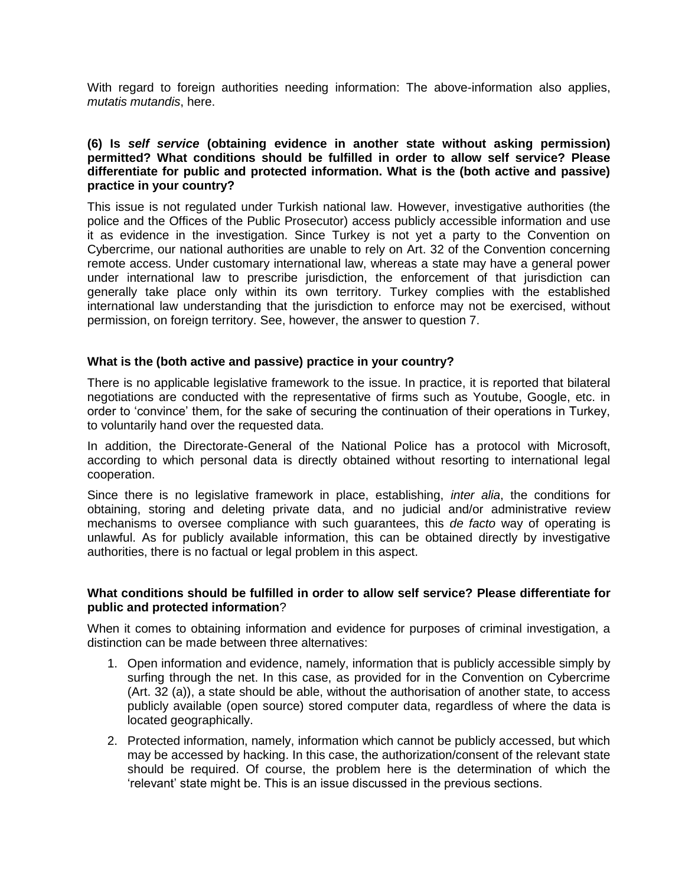With regard to foreign authorities needing information: The above-information also applies, *mutatis mutandis*, here.

#### **(6) Is** *self service* **(obtaining evidence in another state without asking permission) permitted? What conditions should be fulfilled in order to allow self service? Please differentiate for public and protected information. What is the (both active and passive) practice in your country?**

This issue is not regulated under Turkish national law. However, investigative authorities (the police and the Offices of the Public Prosecutor) access publicly accessible information and use it as evidence in the investigation. Since Turkey is not yet a party to the Convention on Cybercrime, our national authorities are unable to rely on Art. 32 of the Convention concerning remote access. Under customary international law, whereas a state may have a general power under international law to prescribe jurisdiction, the enforcement of that jurisdiction can generally take place only within its own territory. Turkey complies with the established international law understanding that the jurisdiction to enforce may not be exercised, without permission, on foreign territory. See, however, the answer to question 7.

#### **What is the (both active and passive) practice in your country?**

There is no applicable legislative framework to the issue. In practice, it is reported that bilateral negotiations are conducted with the representative of firms such as Youtube, Google, etc. in order to 'convince' them, for the sake of securing the continuation of their operations in Turkey, to voluntarily hand over the requested data.

In addition, the Directorate-General of the National Police has a protocol with Microsoft, according to which personal data is directly obtained without resorting to international legal cooperation.

Since there is no legislative framework in place, establishing, *inter alia*, the conditions for obtaining, storing and deleting private data, and no judicial and/or administrative review mechanisms to oversee compliance with such guarantees, this *de facto* way of operating is unlawful. As for publicly available information, this can be obtained directly by investigative authorities, there is no factual or legal problem in this aspect.

## **What conditions should be fulfilled in order to allow self service? Please differentiate for public and protected information**?

When it comes to obtaining information and evidence for purposes of criminal investigation, a distinction can be made between three alternatives:

- 1. Open information and evidence, namely, information that is publicly accessible simply by surfing through the net. In this case, as provided for in the Convention on Cybercrime (Art. 32 (a)), a state should be able, without the authorisation of another state, to access publicly available (open source) stored computer data, regardless of where the data is located geographically.
- 2. Protected information, namely, information which cannot be publicly accessed, but which may be accessed by hacking. In this case, the authorization/consent of the relevant state should be required. Of course, the problem here is the determination of which the 'relevant' state might be. This is an issue discussed in the previous sections.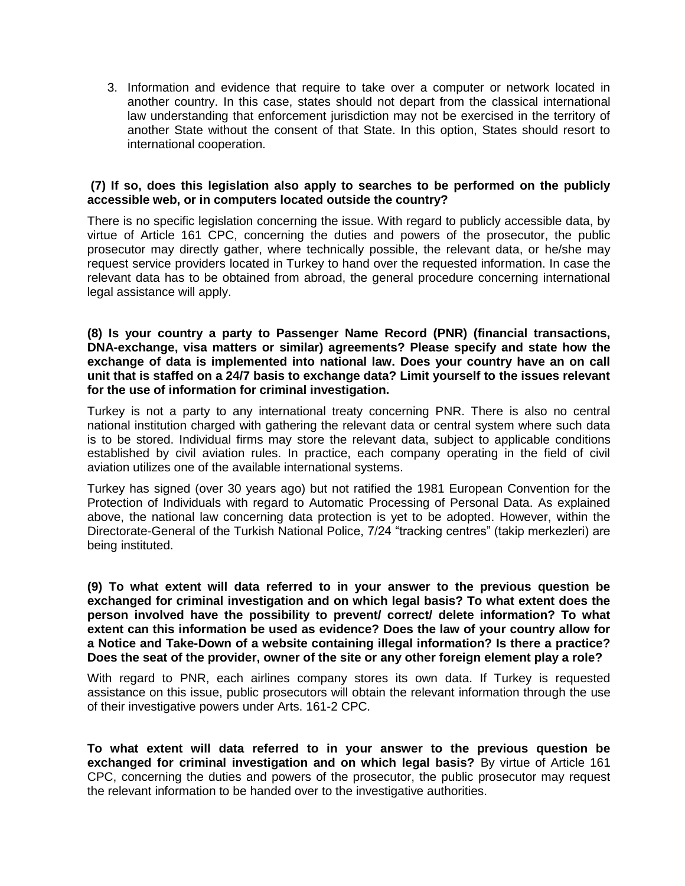3. Information and evidence that require to take over a computer or network located in another country. In this case, states should not depart from the classical international law understanding that enforcement jurisdiction may not be exercised in the territory of another State without the consent of that State. In this option, States should resort to international cooperation.

#### **(7) If so, does this legislation also apply to searches to be performed on the publicly accessible web, or in computers located outside the country?**

There is no specific legislation concerning the issue. With regard to publicly accessible data, by virtue of Article 161 CPC, concerning the duties and powers of the prosecutor, the public prosecutor may directly gather, where technically possible, the relevant data, or he/she may request service providers located in Turkey to hand over the requested information. In case the relevant data has to be obtained from abroad, the general procedure concerning international legal assistance will apply.

**(8) Is your country a party to Passenger Name Record (PNR) (financial transactions, DNA-exchange, visa matters or similar) agreements? Please specify and state how the exchange of data is implemented into national law. Does your country have an on call unit that is staffed on a 24/7 basis to exchange data? Limit yourself to the issues relevant for the use of information for criminal investigation.**

Turkey is not a party to any international treaty concerning PNR. There is also no central national institution charged with gathering the relevant data or central system where such data is to be stored. Individual firms may store the relevant data, subject to applicable conditions established by civil aviation rules. In practice, each company operating in the field of civil aviation utilizes one of the available international systems.

Turkey has signed (over 30 years ago) but not ratified the 1981 European Convention for the Protection of Individuals with regard to Automatic Processing of Personal Data. As explained above, the national law concerning data protection is yet to be adopted. However, within the Directorate-General of the Turkish National Police, 7/24 "tracking centres" (takip merkezleri) are being instituted.

**(9) To what extent will data referred to in your answer to the previous question be exchanged for criminal investigation and on which legal basis? To what extent does the person involved have the possibility to prevent/ correct/ delete information? To what extent can this information be used as evidence? Does the law of your country allow for a Notice and Take-Down of a website containing illegal information? Is there a practice? Does the seat of the provider, owner of the site or any other foreign element play a role?**

With regard to PNR, each airlines company stores its own data. If Turkey is requested assistance on this issue, public prosecutors will obtain the relevant information through the use of their investigative powers under Arts. 161-2 CPC.

**To what extent will data referred to in your answer to the previous question be exchanged for criminal investigation and on which legal basis?** By virtue of Article 161 CPC, concerning the duties and powers of the prosecutor, the public prosecutor may request the relevant information to be handed over to the investigative authorities.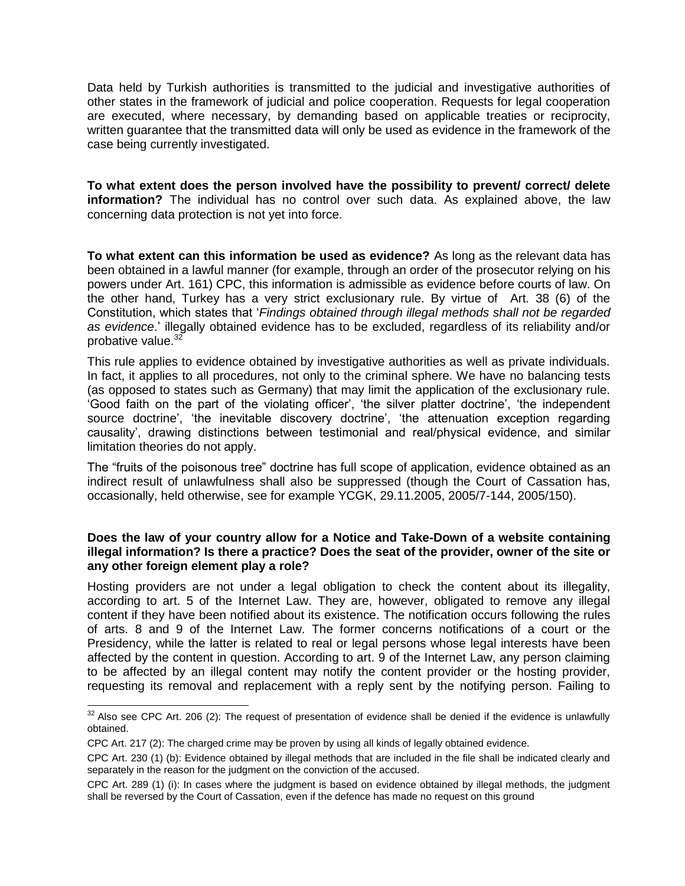Data held by Turkish authorities is transmitted to the judicial and investigative authorities of other states in the framework of judicial and police cooperation. Requests for legal cooperation are executed, where necessary, by demanding based on applicable treaties or reciprocity, written guarantee that the transmitted data will only be used as evidence in the framework of the case being currently investigated.

**To what extent does the person involved have the possibility to prevent/ correct/ delete information?** The individual has no control over such data. As explained above, the law concerning data protection is not yet into force.

**To what extent can this information be used as evidence?** As long as the relevant data has been obtained in a lawful manner (for example, through an order of the prosecutor relying on his powers under Art. 161) CPC, this information is admissible as evidence before courts of law. On the other hand, Turkey has a very strict exclusionary rule. By virtue of Art. 38 (6) of the Constitution, which states that '*Findings obtained through illegal methods shall not be regarded as evidence*.' illegally obtained evidence has to be excluded, regardless of its reliability and/or probative value.<sup>32</sup>

This rule applies to evidence obtained by investigative authorities as well as private individuals. In fact, it applies to all procedures, not only to the criminal sphere. We have no balancing tests (as opposed to states such as Germany) that may limit the application of the exclusionary rule. 'Good faith on the part of the violating officer', 'the silver platter doctrine', 'the independent source doctrine', 'the inevitable discovery doctrine', 'the attenuation exception regarding causality', drawing distinctions between testimonial and real/physical evidence, and similar limitation theories do not apply.

The "fruits of the poisonous tree" doctrine has full scope of application, evidence obtained as an indirect result of unlawfulness shall also be suppressed (though the Court of Cassation has, occasionally, held otherwise, see for example YCGK, 29.11.2005, 2005/7-144, 2005/150).

#### **Does the law of your country allow for a Notice and Take-Down of a website containing illegal information? Is there a practice? Does the seat of the provider, owner of the site or any other foreign element play a role?**

Hosting providers are not under a legal obligation to check the content about its illegality, according to art. 5 of the Internet Law. They are, however, obligated to remove any illegal content if they have been notified about its existence. The notification occurs following the rules of arts. 8 and 9 of the Internet Law. The former concerns notifications of a court or the Presidency, while the latter is related to real or legal persons whose legal interests have been affected by the content in question. According to art. 9 of the Internet Law, any person claiming to be affected by an illegal content may notify the content provider or the hosting provider, requesting its removal and replacement with a reply sent by the notifying person. Failing to

 $\overline{\phantom{a}}$ 

 $32$  Also see CPC Art. 206 (2): The request of presentation of evidence shall be denied if the evidence is unlawfully obtained.

CPC Art. 217 (2): The charged crime may be proven by using all kinds of legally obtained evidence.

CPC Art. 230 (1) (b): Evidence obtained by illegal methods that are included in the file shall be indicated clearly and separately in the reason for the judgment on the conviction of the accused.

CPC Art. 289 (1) (i): In cases where the judgment is based on evidence obtained by illegal methods, the judgment shall be reversed by the Court of Cassation, even if the defence has made no request on this ground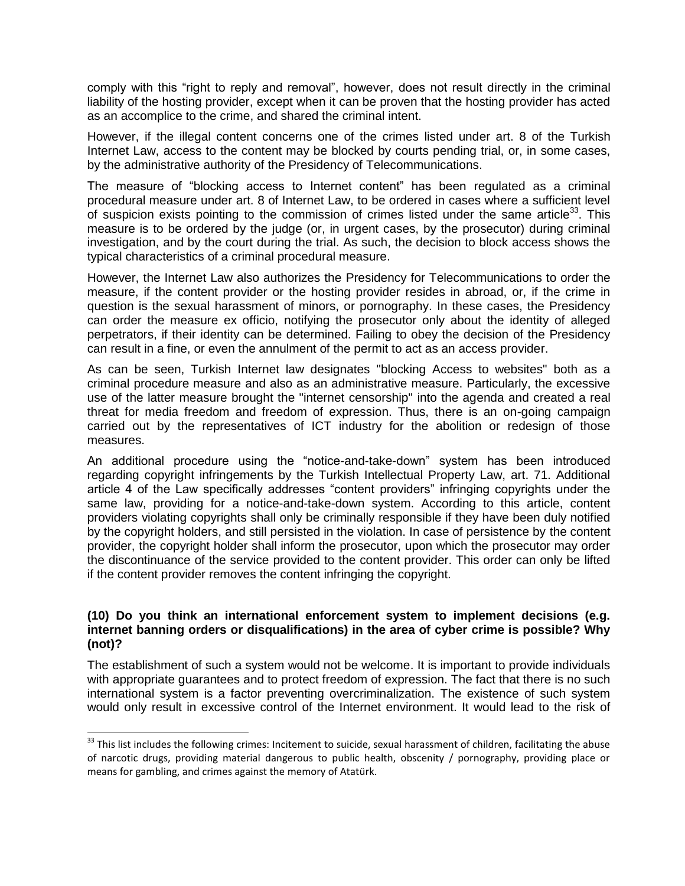comply with this "right to reply and removal", however, does not result directly in the criminal liability of the hosting provider, except when it can be proven that the hosting provider has acted as an accomplice to the crime, and shared the criminal intent.

However, if the illegal content concerns one of the crimes listed under art. 8 of the Turkish Internet Law, access to the content may be blocked by courts pending trial, or, in some cases, by the administrative authority of the Presidency of Telecommunications.

The measure of "blocking access to Internet content" has been regulated as a criminal procedural measure under art. 8 of Internet Law, to be ordered in cases where a sufficient level of suspicion exists pointing to the commission of crimes listed under the same article<sup>33</sup>. This measure is to be ordered by the judge (or, in urgent cases, by the prosecutor) during criminal investigation, and by the court during the trial. As such, the decision to block access shows the typical characteristics of a criminal procedural measure.

However, the Internet Law also authorizes the Presidency for Telecommunications to order the measure, if the content provider or the hosting provider resides in abroad, or, if the crime in question is the sexual harassment of minors, or pornography. In these cases, the Presidency can order the measure ex officio, notifying the prosecutor only about the identity of alleged perpetrators, if their identity can be determined. Failing to obey the decision of the Presidency can result in a fine, or even the annulment of the permit to act as an access provider.

As can be seen, Turkish Internet law designates "blocking Access to websites" both as a criminal procedure measure and also as an administrative measure. Particularly, the excessive use of the latter measure brought the "internet censorship" into the agenda and created a real threat for media freedom and freedom of expression. Thus, there is an on-going campaign carried out by the representatives of ICT industry for the abolition or redesign of those measures.

An additional procedure using the "notice-and-take-down" system has been introduced regarding copyright infringements by the Turkish Intellectual Property Law, art. 71. Additional article 4 of the Law specifically addresses "content providers" infringing copyrights under the same law, providing for a notice-and-take-down system. According to this article, content providers violating copyrights shall only be criminally responsible if they have been duly notified by the copyright holders, and still persisted in the violation. In case of persistence by the content provider, the copyright holder shall inform the prosecutor, upon which the prosecutor may order the discontinuance of the service provided to the content provider. This order can only be lifted if the content provider removes the content infringing the copyright.

## **(10) Do you think an international enforcement system to implement decisions (e.g. internet banning orders or disqualifications) in the area of cyber crime is possible? Why (not)?**

The establishment of such a system would not be welcome. It is important to provide individuals with appropriate guarantees and to protect freedom of expression. The fact that there is no such international system is a factor preventing overcriminalization. The existence of such system would only result in excessive control of the Internet environment. It would lead to the risk of

 $\overline{a}$ 

<sup>&</sup>lt;sup>33</sup> This list includes the following crimes: Incitement to suicide, sexual harassment of children, facilitating the abuse of narcotic drugs, providing material dangerous to public health, obscenity / pornography, providing place or means for gambling, and crimes against the memory of Atatürk.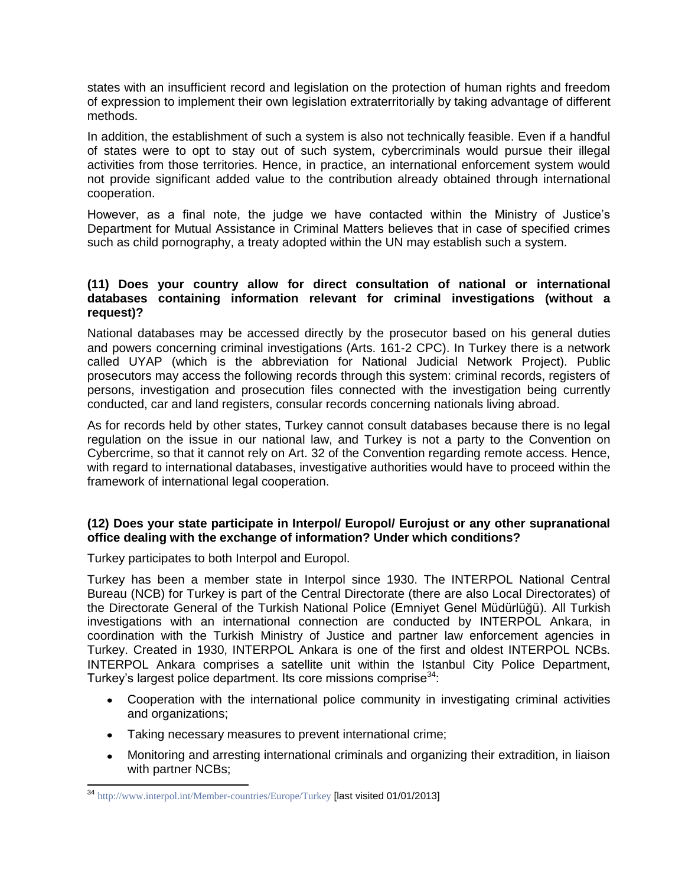states with an insufficient record and legislation on the protection of human rights and freedom of expression to implement their own legislation extraterritorially by taking advantage of different methods.

In addition, the establishment of such a system is also not technically feasible. Even if a handful of states were to opt to stay out of such system, cybercriminals would pursue their illegal activities from those territories. Hence, in practice, an international enforcement system would not provide significant added value to the contribution already obtained through international cooperation.

However, as a final note, the judge we have contacted within the Ministry of Justice's Department for Mutual Assistance in Criminal Matters believes that in case of specified crimes such as child pornography, a treaty adopted within the UN may establish such a system.

## **(11) Does your country allow for direct consultation of national or international databases containing information relevant for criminal investigations (without a request)?**

National databases may be accessed directly by the prosecutor based on his general duties and powers concerning criminal investigations (Arts. 161-2 CPC). In Turkey there is a network called UYAP (which is the abbreviation for National Judicial Network Project). Public prosecutors may access the following records through this system: criminal records, registers of persons, investigation and prosecution files connected with the investigation being currently conducted, car and land registers, consular records concerning nationals living abroad.

As for records held by other states, Turkey cannot consult databases because there is no legal regulation on the issue in our national law, and Turkey is not a party to the Convention on Cybercrime, so that it cannot rely on Art. 32 of the Convention regarding remote access. Hence, with regard to international databases, investigative authorities would have to proceed within the framework of international legal cooperation.

## **(12) Does your state participate in Interpol/ Europol/ Eurojust or any other supranational office dealing with the exchange of information? Under which conditions?**

Turkey participates to both Interpol and Europol.

Turkey has been a member state in Interpol since 1930. The INTERPOL National Central Bureau (NCB) for Turkey is part of the Central Directorate (there are also Local Directorates) of the Directorate General of the Turkish National Police (Emniyet Genel Müdürlüğü). All Turkish investigations with an international connection are conducted by INTERPOL Ankara, in coordination with the Turkish Ministry of Justice and partner law enforcement agencies in Turkey. Created in 1930, INTERPOL Ankara is one of the first and oldest INTERPOL NCBs. INTERPOL Ankara comprises a satellite unit within the Istanbul City Police Department, Turkey's largest police department. Its core missions comprise<sup>34</sup>:

- Cooperation with the international police community in investigating criminal activities and organizations;
- Taking necessary measures to prevent international crime;
- Monitoring and arresting international criminals and organizing their extradition, in liaison with partner NCBs;

j <sup>34</sup> <http://www.interpol.int/Member-countries/Europe/Turkey> **[last visited 01/01/2013]**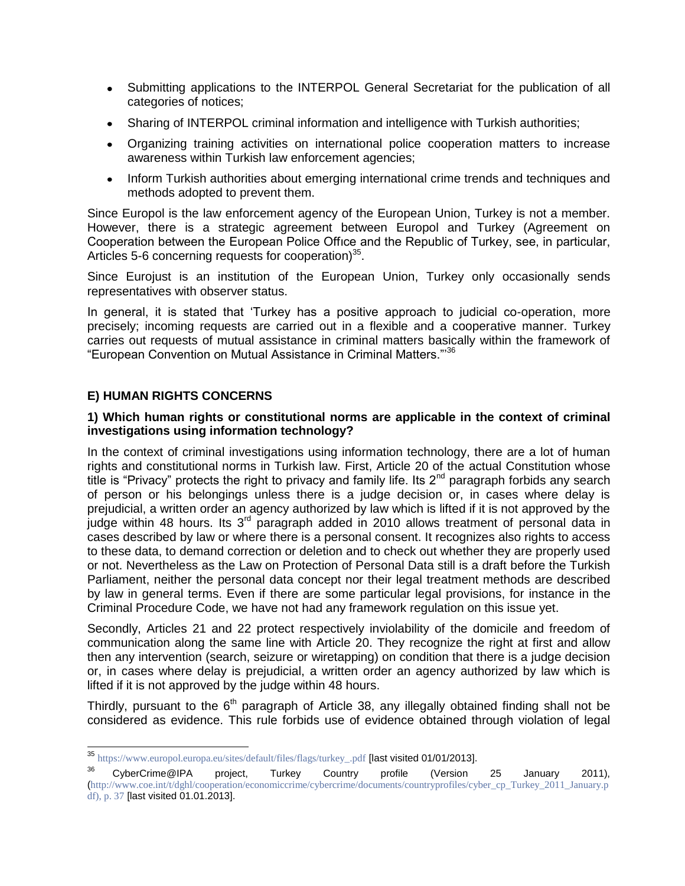- Submitting applications to the INTERPOL General Secretariat for the publication of all categories of notices;
- Sharing of INTERPOL criminal information and intelligence with Turkish authorities;
- Organizing training activities on international police cooperation matters to increase awareness within Turkish law enforcement agencies;
- Inform Turkish authorities about emerging international crime trends and techniques and methods adopted to prevent them.

Since Europol is the law enforcement agency of the European Union, Turkey is not a member. However, there is a strategic agreement between Europol and Turkey (Agreement on Cooperation between the European Police Offıce and the Republic of Turkey, see, in particular, Articles 5-6 concerning requests for cooperation) $35$ .

Since Eurojust is an institution of the European Union, Turkey only occasionally sends representatives with observer status.

In general, it is stated that 'Turkey has a positive approach to judicial co-operation, more precisely; incoming requests are carried out in a flexible and a cooperative manner. Turkey carries out requests of mutual assistance in criminal matters basically within the framework of "European Convention on Mutual Assistance in Criminal Matters."'<sup>36</sup>

## **E) HUMAN RIGHTS CONCERNS**

j

## **1) Which human rights or constitutional norms are applicable in the context of criminal investigations using information technology?**

In the context of criminal investigations using information technology, there are a lot of human rights and constitutional norms in Turkish law. First, Article 20 of the actual Constitution whose title is "Privacy" protects the right to privacy and family life. Its  $2^{nd}$  paragraph forbids any search of person or his belongings unless there is a judge decision or, in cases where delay is prejudicial, a written order an agency authorized by law which is lifted if it is not approved by the judge within 48 hours. Its  $3<sup>rd</sup>$  paragraph added in 2010 allows treatment of personal data in cases described by law or where there is a personal consent. It recognizes also rights to access to these data, to demand correction or deletion and to check out whether they are properly used or not. Nevertheless as the Law on Protection of Personal Data still is a draft before the Turkish Parliament, neither the personal data concept nor their legal treatment methods are described by law in general terms. Even if there are some particular legal provisions, for instance in the Criminal Procedure Code, we have not had any framework regulation on this issue yet.

Secondly, Articles 21 and 22 protect respectively inviolability of the domicile and freedom of communication along the same line with Article 20. They recognize the right at first and allow then any intervention (search, seizure or wiretapping) on condition that there is a judge decision or, in cases where delay is prejudicial, a written order an agency authorized by law which is lifted if it is not approved by the judge within 48 hours.

Thirdly, pursuant to the  $6<sup>th</sup>$  paragraph of Article 38, any illegally obtained finding shall not be considered as evidence. This rule forbids use of evidence obtained through violation of legal

 $^{35}$  [https://www.europol.europa.eu/sites/default/files/flags/turkey\\_.pdf](https://www.europol.europa.eu/sites/default/files/flags/turkey_.pdf) [last visited 01/01/2013].

 $36$  CyberCrime@IPA project, Turkey Country profile (Version 25 January 2011), ([http://www.coe.int/t/dghl/cooperation/economiccrime/cybercrime/documents/countryprofiles/cyber\\_cp\\_Turkey\\_2011\\_January.p](http://www.coe.int/t/dghl/cooperation/economiccrime/cybercrime/documents/countryprofiles/cyber_cp_Turkey_2011_January.pdf) [df\)](http://www.coe.int/t/dghl/cooperation/economiccrime/cybercrime/documents/countryprofiles/cyber_cp_Turkey_2011_January.pdf), p. 37 [last visited 01.01.2013].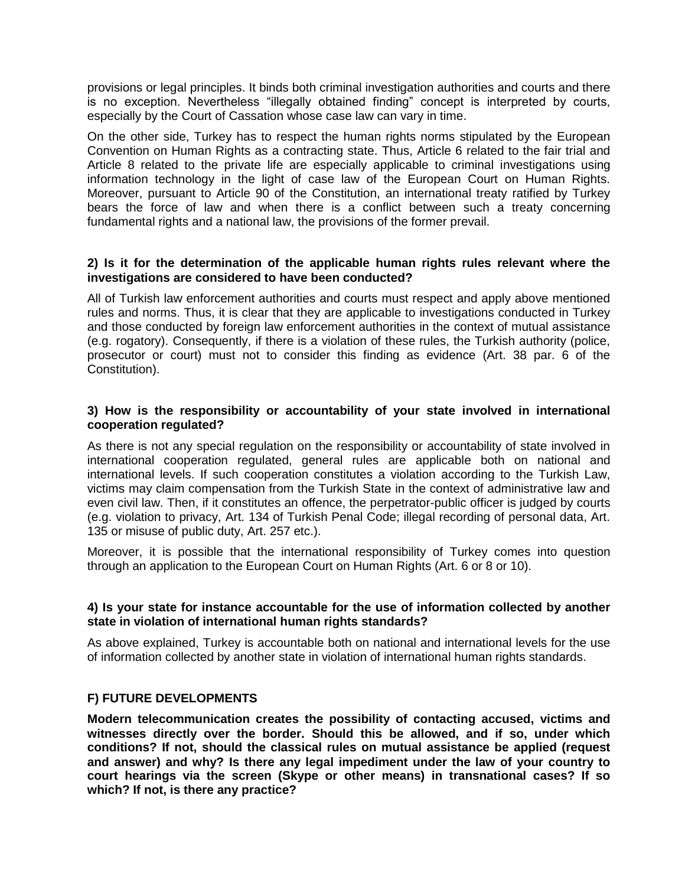provisions or legal principles. It binds both criminal investigation authorities and courts and there is no exception. Nevertheless "illegally obtained finding" concept is interpreted by courts, especially by the Court of Cassation whose case law can vary in time.

On the other side, Turkey has to respect the human rights norms stipulated by the European Convention on Human Rights as a contracting state. Thus, Article 6 related to the fair trial and Article 8 related to the private life are especially applicable to criminal investigations using information technology in the light of case law of the European Court on Human Rights. Moreover, pursuant to Article 90 of the Constitution, an international treaty ratified by Turkey bears the force of law and when there is a conflict between such a treaty concerning fundamental rights and a national law, the provisions of the former prevail.

## **2) Is it for the determination of the applicable human rights rules relevant where the investigations are considered to have been conducted?**

All of Turkish law enforcement authorities and courts must respect and apply above mentioned rules and norms. Thus, it is clear that they are applicable to investigations conducted in Turkey and those conducted by foreign law enforcement authorities in the context of mutual assistance (e.g. rogatory). Consequently, if there is a violation of these rules, the Turkish authority (police, prosecutor or court) must not to consider this finding as evidence (Art. 38 par. 6 of the Constitution).

#### **3) How is the responsibility or accountability of your state involved in international cooperation regulated?**

As there is not any special regulation on the responsibility or accountability of state involved in international cooperation regulated, general rules are applicable both on national and international levels. If such cooperation constitutes a violation according to the Turkish Law, victims may claim compensation from the Turkish State in the context of administrative law and even civil law. Then, if it constitutes an offence, the perpetrator-public officer is judged by courts (e.g. violation to privacy, Art. 134 of Turkish Penal Code; illegal recording of personal data, Art. 135 or misuse of public duty, Art. 257 etc.).

Moreover, it is possible that the international responsibility of Turkey comes into question through an application to the European Court on Human Rights (Art. 6 or 8 or 10).

#### **4) Is your state for instance accountable for the use of information collected by another state in violation of international human rights standards?**

As above explained, Turkey is accountable both on national and international levels for the use of information collected by another state in violation of international human rights standards.

#### **F) FUTURE DEVELOPMENTS**

**Modern telecommunication creates the possibility of contacting accused, victims and witnesses directly over the border. Should this be allowed, and if so, under which conditions? If not, should the classical rules on mutual assistance be applied (request and answer) and why? Is there any legal impediment under the law of your country to court hearings via the screen (Skype or other means) in transnational cases? If so which? If not, is there any practice?**